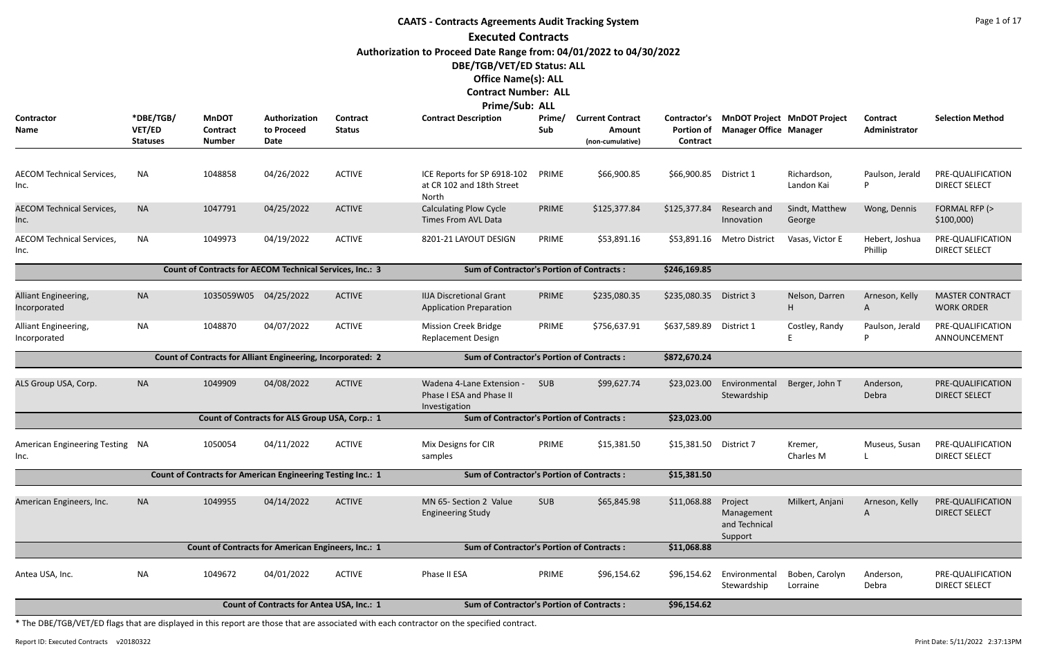## **CAATS - Contracts Agreements Audit Tracking System Executed Contracts Authorization to Proceed Date Range from: 04/01/2022 to 04/30/2022 DBE/TGB/VET/ED Status: ALL Office Name(s): ALL Contract Number: ALL Prime/Sub: ALL**

|                                                                                                      |                                        |                                                                    |                                                |                           | Prime/Sub: ALL                                                    |               |                                                       |                                               |                                                                     |                            |                           |                                             |
|------------------------------------------------------------------------------------------------------|----------------------------------------|--------------------------------------------------------------------|------------------------------------------------|---------------------------|-------------------------------------------------------------------|---------------|-------------------------------------------------------|-----------------------------------------------|---------------------------------------------------------------------|----------------------------|---------------------------|---------------------------------------------|
| <b>Contractor</b><br>Name                                                                            | *DBE/TGB/<br>VET/ED<br><b>Statuses</b> | <b>MnDOT</b><br><b>Contract</b><br><b>Number</b>                   | Authorization<br>to Proceed<br><b>Date</b>     | Contract<br><b>Status</b> | <b>Contract Description</b>                                       | Prime/<br>Sub | <b>Current Contract</b><br>Amount<br>(non-cumulative) | Contractor's<br><b>Portion of</b><br>Contract | <b>MnDOT Project MnDOT Project</b><br><b>Manager Office Manager</b> |                            | Contract<br>Administrator | <b>Selection Method</b>                     |
|                                                                                                      |                                        |                                                                    |                                                |                           |                                                                   |               |                                                       |                                               |                                                                     |                            |                           |                                             |
| <b>AECOM Technical Services,</b><br>Inc.                                                             | <b>NA</b>                              | 1048858                                                            | 04/26/2022                                     | <b>ACTIVE</b>             | ICE Reports for SP 6918-102<br>at CR 102 and 18th Street<br>North | PRIME         | \$66,900.85                                           | \$66,900.85                                   | District 1                                                          | Richardson,<br>Landon Kai  | Paulson, Jerald<br>D      | PRE-QUALIFICATION<br><b>DIRECT SELECT</b>   |
| <b>AECOM Technical Services,</b><br>Inc.                                                             | <b>NA</b>                              | 1047791                                                            | 04/25/2022                                     | <b>ACTIVE</b>             | <b>Calculating Plow Cycle</b><br>Times From AVL Data              | PRIME         | \$125,377.84                                          | \$125,377.84                                  | Research and<br>Innovation                                          | Sindt, Matthew<br>George   | Wong, Dennis              | FORMAL RFP (><br>$$100,000$ )               |
| <b>AECOM Technical Services,</b><br>Inc.                                                             | <b>NA</b>                              | 1049973                                                            | 04/19/2022                                     | <b>ACTIVE</b>             | 8201-21 LAYOUT DESIGN                                             | PRIME         | \$53,891.16                                           | \$53,891.16                                   | <b>Metro District</b>                                               | Vasas, Victor E            | Hebert, Joshua<br>Phillip | PRE-QUALIFICATION<br><b>DIRECT SELECT</b>   |
|                                                                                                      |                                        | Count of Contracts for AECOM Technical Services, Inc.: 3           |                                                |                           | <b>Sum of Contractor's Portion of Contracts:</b>                  |               |                                                       | \$246,169.85                                  |                                                                     |                            |                           |                                             |
|                                                                                                      |                                        |                                                                    |                                                |                           |                                                                   |               |                                                       |                                               |                                                                     |                            |                           |                                             |
| Alliant Engineering,<br>Incorporated                                                                 | <b>NA</b>                              | 1035059W05                                                         | 04/25/2022                                     | <b>ACTIVE</b>             | <b>IIJA Discretional Grant</b><br><b>Application Preparation</b>  | PRIME         | \$235,080.35                                          | \$235,080.35                                  | District 3                                                          | Nelson, Darren<br>Н        | Arneson, Kelly<br>A       | <b>MASTER CONTRACT</b><br><b>WORK ORDER</b> |
| Alliant Engineering,<br>Incorporated                                                                 | <b>NA</b>                              | 1048870                                                            | 04/07/2022                                     | <b>ACTIVE</b>             | <b>Mission Creek Bridge</b><br><b>Replacement Design</b>          | PRIME         | \$756,637.91                                          | \$637,589.89                                  | District 1                                                          | Costley, Randy<br>E        | Paulson, Jerald           | PRE-QUALIFICATION<br>ANNOUNCEMENT           |
|                                                                                                      |                                        | Count of Contracts for Alliant Engineering, Incorporated: 2        |                                                |                           | <b>Sum of Contractor's Portion of Contracts:</b>                  |               |                                                       | \$872,670.24                                  |                                                                     |                            |                           |                                             |
| ALS Group USA, Corp.                                                                                 | <b>NA</b>                              | 1049909                                                            | 04/08/2022                                     | <b>ACTIVE</b>             | Wadena 4-Lane Extension -<br>Phase I ESA and Phase II             | <b>SUB</b>    | \$99,627.74                                           | \$23,023.00                                   | Environmental<br>Stewardship                                        | Berger, John T             | Anderson,<br>Debra        | PRE-QUALIFICATION<br><b>DIRECT SELECT</b>   |
|                                                                                                      |                                        |                                                                    |                                                |                           | Investigation                                                     |               |                                                       |                                               |                                                                     |                            |                           |                                             |
|                                                                                                      |                                        |                                                                    | Count of Contracts for ALS Group USA, Corp.: 1 |                           | <b>Sum of Contractor's Portion of Contracts:</b>                  |               |                                                       | \$23,023.00                                   |                                                                     |                            |                           |                                             |
| American Engineering Testing NA<br>Inc.                                                              |                                        | 1050054                                                            | 04/11/2022                                     | <b>ACTIVE</b>             | Mix Designs for CIR<br>samples                                    | PRIME         | \$15,381.50                                           | \$15,381.50                                   | District 7                                                          | Kremer,<br>Charles M       | Museus, Susan             | PRE-QUALIFICATION<br><b>DIRECT SELECT</b>   |
|                                                                                                      |                                        | <b>Count of Contracts for American Engineering Testing Inc.: 1</b> |                                                |                           | <b>Sum of Contractor's Portion of Contracts:</b>                  |               |                                                       | \$15,381.50                                   |                                                                     |                            |                           |                                             |
| American Engineers, Inc.                                                                             | <b>NA</b>                              | 1049955                                                            | 04/14/2022                                     | <b>ACTIVE</b>             | MN 65- Section 2 Value<br><b>Engineering Study</b>                | <b>SUB</b>    | \$65,845.98                                           | \$11,068.88                                   | Project<br>Management<br>and Technical<br>Support                   | Milkert, Anjani            | Arneson, Kelly<br>A       | PRE-QUALIFICATION<br><b>DIRECT SELECT</b>   |
|                                                                                                      |                                        | Count of Contracts for American Engineers, Inc.: 1                 |                                                |                           | <b>Sum of Contractor's Portion of Contracts:</b>                  |               |                                                       | \$11,068.88                                   |                                                                     |                            |                           |                                             |
| Antea USA, Inc.                                                                                      | <b>NA</b>                              | 1049672                                                            | 04/01/2022                                     | <b>ACTIVE</b>             | Phase II ESA                                                      | PRIME         | \$96,154.62                                           | \$96,154.62                                   | Environmental<br>Stewardship                                        | Boben, Carolyn<br>Lorraine | Anderson,<br>Debra        | PRE-QUALIFICATION<br><b>DIRECT SELECT</b>   |
| <b>Count of Contracts for Antea USA, Inc.: 1</b><br><b>Sum of Contractor's Portion of Contracts:</b> |                                        |                                                                    |                                                |                           |                                                                   |               |                                                       |                                               |                                                                     |                            |                           |                                             |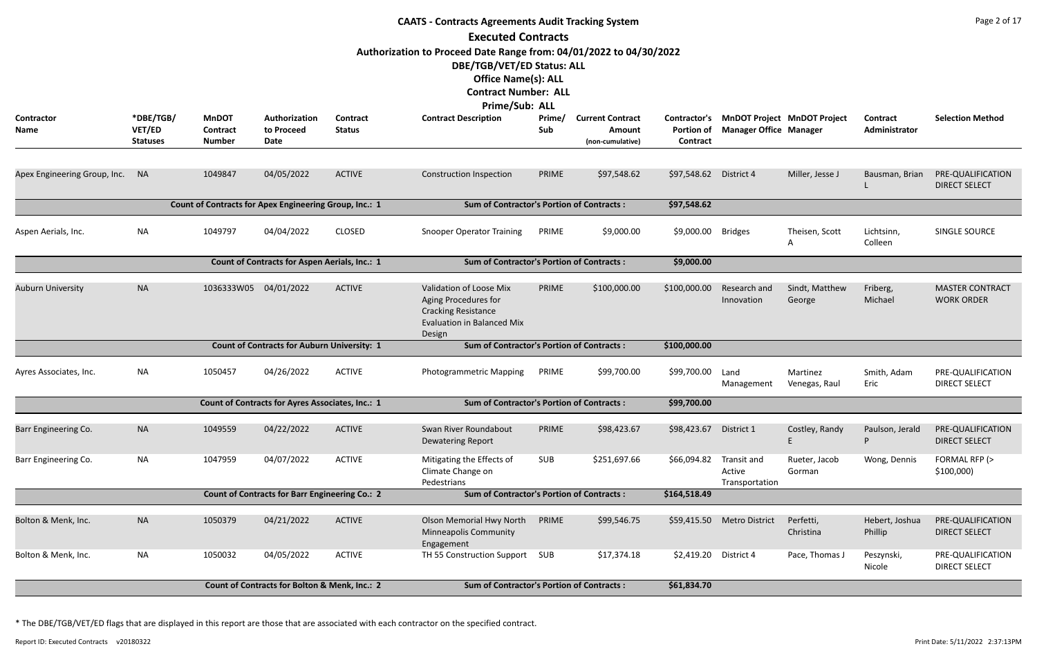|                                  | <b>CAATS - Contracts Agreements Audit Tracking System</b> |                                           |                                                        |                                  |                                                                                                                                                                                 |               |                                                       |                                                      |                                                                     |                           |                           |                                             |  |  |
|----------------------------------|-----------------------------------------------------------|-------------------------------------------|--------------------------------------------------------|----------------------------------|---------------------------------------------------------------------------------------------------------------------------------------------------------------------------------|---------------|-------------------------------------------------------|------------------------------------------------------|---------------------------------------------------------------------|---------------------------|---------------------------|---------------------------------------------|--|--|
|                                  |                                                           |                                           |                                                        |                                  | <b>Executed Contracts</b>                                                                                                                                                       |               |                                                       |                                                      |                                                                     |                           |                           |                                             |  |  |
|                                  |                                                           |                                           |                                                        |                                  | Authorization to Proceed Date Range from: 04/01/2022 to 04/30/2022<br>DBE/TGB/VET/ED Status: ALL<br><b>Office Name(s): ALL</b><br><b>Contract Number: ALL</b><br>Prime/Sub: ALL |               |                                                       |                                                      |                                                                     |                           |                           |                                             |  |  |
| <b>Contractor</b><br><b>Name</b> | *DBE/TGB/<br>VET/ED<br><b>Statuses</b>                    | <b>MnDOT</b><br>Contract<br><b>Number</b> | Authorization<br>to Proceed<br>Date                    | <b>Contract</b><br><b>Status</b> | <b>Contract Description</b>                                                                                                                                                     | Prime/<br>Sub | <b>Current Contract</b><br>Amount<br>(non-cumulative) | <b>Contractor's</b><br><b>Portion of</b><br>Contract | <b>MnDOT Project MnDOT Project</b><br><b>Manager Office Manager</b> |                           | Contract<br>Administrator | <b>Selection Method</b>                     |  |  |
| Apex Engineering Group, Inc. NA  |                                                           | 1049847                                   | 04/05/2022                                             | <b>ACTIVE</b>                    | <b>Construction Inspection</b>                                                                                                                                                  | PRIME         | \$97,548.62                                           | \$97,548.62 District 4                               |                                                                     | Miller, Jesse J           | Bausman, Brian            | PRE-QUALIFICATION<br><b>DIRECT SELECT</b>   |  |  |
|                                  |                                                           |                                           | Count of Contracts for Apex Engineering Group, Inc.: 1 |                                  | <b>Sum of Contractor's Portion of Contracts:</b>                                                                                                                                |               |                                                       | \$97,548.62                                          |                                                                     |                           |                           |                                             |  |  |
| Aspen Aerials, Inc.              | <b>NA</b>                                                 | 1049797                                   | 04/04/2022                                             | <b>CLOSED</b>                    | <b>Snooper Operator Training</b>                                                                                                                                                | PRIME         | \$9,000.00                                            | \$9,000.00                                           | <b>Bridges</b>                                                      | Theisen, Scott<br>A       | Lichtsinn,<br>Colleen     | SINGLE SOURCE                               |  |  |
|                                  |                                                           |                                           | Count of Contracts for Aspen Aerials, Inc.: 1          |                                  | <b>Sum of Contractor's Portion of Contracts:</b>                                                                                                                                |               |                                                       | \$9,000.00                                           |                                                                     |                           |                           |                                             |  |  |
| <b>Auburn University</b>         | <b>NA</b>                                                 | 1036333W05 04/01/2022                     |                                                        | <b>ACTIVE</b>                    | Validation of Loose Mix<br>Aging Procedures for<br><b>Cracking Resistance</b><br><b>Evaluation in Balanced Mix</b><br>Design                                                    | PRIME         | \$100,000.00                                          | \$100,000.00                                         | Research and<br>Innovation                                          | Sindt, Matthew<br>George  | Friberg,<br>Michael       | <b>MASTER CONTRACT</b><br><b>WORK ORDER</b> |  |  |
|                                  |                                                           |                                           | <b>Count of Contracts for Auburn University: 1</b>     |                                  | <b>Sum of Contractor's Portion of Contracts:</b>                                                                                                                                |               |                                                       | \$100,000.00                                         |                                                                     |                           |                           |                                             |  |  |
| Ayres Associates, Inc.           | NA                                                        | 1050457                                   | 04/26/2022                                             | <b>ACTIVE</b>                    | Photogrammetric Mapping                                                                                                                                                         | PRIME         | \$99,700.00                                           | \$99,700.00                                          | Land<br>Management                                                  | Martinez<br>Venegas, Raul | Smith, Adam<br>Eric       | PRE-QUALIFICATION<br><b>DIRECT SELECT</b>   |  |  |
|                                  |                                                           |                                           | Count of Contracts for Ayres Associates, Inc.: 1       |                                  | <b>Sum of Contractor's Portion of Contracts:</b>                                                                                                                                |               |                                                       | \$99,700.00                                          |                                                                     |                           |                           |                                             |  |  |
| Barr Engineering Co.             | <b>NA</b>                                                 | 1049559                                   | 04/22/2022                                             | <b>ACTIVE</b>                    | Swan River Roundabout<br><b>Dewatering Report</b>                                                                                                                               | PRIME         | \$98,423.67                                           | \$98,423.67                                          | District 1                                                          | Costley, Randy            | Paulson, Jerald<br>P      | PRE-QUALIFICATION<br><b>DIRECT SELECT</b>   |  |  |
| Barr Engineering Co.             | <b>NA</b>                                                 | 1047959                                   | 04/07/2022                                             | <b>ACTIVE</b>                    | Mitigating the Effects of<br>Climate Change on<br>Pedestrians                                                                                                                   | SUB           | \$251,697.66                                          | \$66,094.82                                          | Transit and<br>Active<br>Transportation                             | Rueter, Jacob<br>Gorman   | Wong, Dennis              | FORMAL RFP (><br>\$100,000                  |  |  |
|                                  |                                                           |                                           | <b>Count of Contracts for Barr Engineering Co.: 2</b>  |                                  | <b>Sum of Contractor's Portion of Contracts:</b>                                                                                                                                |               |                                                       | \$164,518.49                                         |                                                                     |                           |                           |                                             |  |  |
| Bolton & Menk, Inc.              | <b>NA</b>                                                 | 1050379                                   | 04/21/2022                                             | <b>ACTIVE</b>                    | <b>Olson Memorial Hwy North</b><br><b>Minneapolis Community</b><br>Engagement                                                                                                   | PRIME         | \$99,546.75                                           | \$59,415.50                                          | <b>Metro District</b>                                               | Perfetti,<br>Christina    | Hebert, Joshua<br>Phillip | PRE-QUALIFICATION<br><b>DIRECT SELECT</b>   |  |  |
| Bolton & Menk, Inc.              | <b>NA</b>                                                 | 1050032                                   | 04/05/2022                                             | <b>ACTIVE</b>                    | TH 55 Construction Support                                                                                                                                                      | SUB           | \$17,374.18                                           | \$2,419.20                                           | District 4                                                          | Pace, Thomas J            | Peszynski,<br>Nicole      | PRE-QUALIFICATION<br><b>DIRECT SELECT</b>   |  |  |
|                                  |                                                           |                                           | Count of Contracts for Bolton & Menk, Inc.: 2          |                                  | <b>Sum of Contractor's Portion of Contracts:</b>                                                                                                                                |               |                                                       | \$61,834.70                                          |                                                                     |                           |                           |                                             |  |  |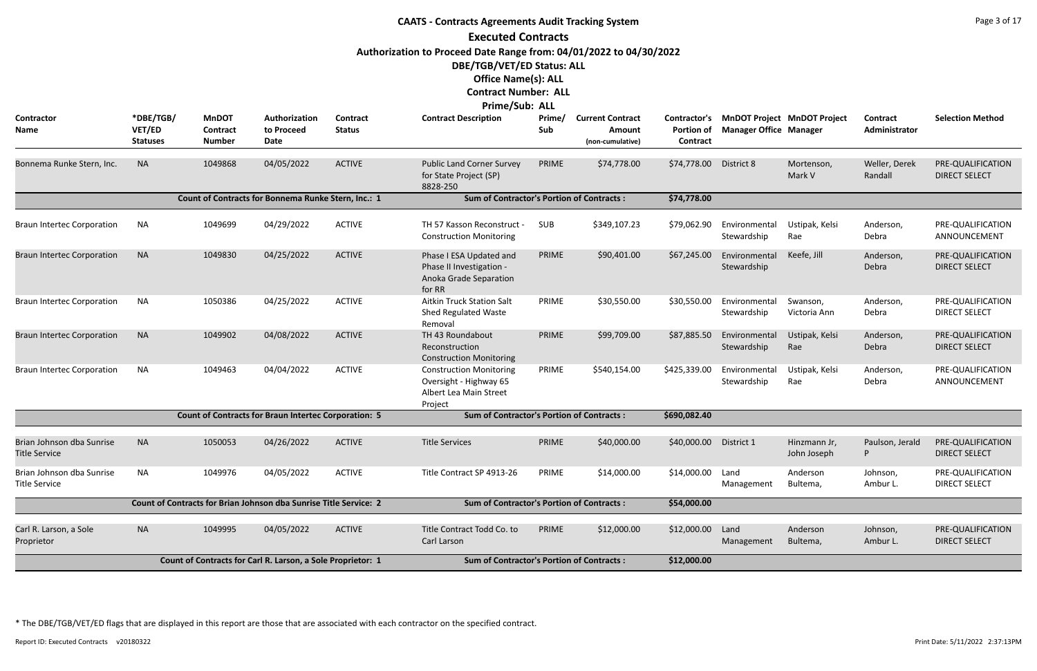|                                                   |                                        |                                                  |                                                                   |                                  | <b>CAATS - Contracts Agreements Audit Tracking System</b>                                     |               |                                                              |                                               |                               |                                    |                           | Page 3 of 17                              |
|---------------------------------------------------|----------------------------------------|--------------------------------------------------|-------------------------------------------------------------------|----------------------------------|-----------------------------------------------------------------------------------------------|---------------|--------------------------------------------------------------|-----------------------------------------------|-------------------------------|------------------------------------|---------------------------|-------------------------------------------|
|                                                   |                                        |                                                  |                                                                   |                                  | <b>Executed Contracts</b>                                                                     |               |                                                              |                                               |                               |                                    |                           |                                           |
|                                                   |                                        |                                                  |                                                                   |                                  | Authorization to Proceed Date Range from: 04/01/2022 to 04/30/2022                            |               |                                                              |                                               |                               |                                    |                           |                                           |
|                                                   |                                        |                                                  |                                                                   |                                  | DBE/TGB/VET/ED Status: ALL                                                                    |               |                                                              |                                               |                               |                                    |                           |                                           |
|                                                   |                                        |                                                  |                                                                   |                                  | <b>Office Name(s): ALL</b>                                                                    |               |                                                              |                                               |                               |                                    |                           |                                           |
|                                                   |                                        |                                                  |                                                                   |                                  | <b>Contract Number: ALL</b>                                                                   |               |                                                              |                                               |                               |                                    |                           |                                           |
|                                                   |                                        |                                                  |                                                                   |                                  | Prime/Sub: ALL                                                                                |               |                                                              |                                               |                               |                                    |                           |                                           |
| Contractor<br><b>Name</b>                         | *DBE/TGB/<br>VET/ED<br><b>Statuses</b> | <b>MnDOT</b><br><b>Contract</b><br><b>Number</b> | Authorization<br>to Proceed<br>Date                               | <b>Contract</b><br><b>Status</b> | <b>Contract Description</b>                                                                   | Prime/<br>Sub | <b>Current Contract</b><br><b>Amount</b><br>(non-cumulative) | Contractor's<br><b>Portion of</b><br>Contract | <b>Manager Office Manager</b> | <b>MnDOT Project MnDOT Project</b> | Contract<br>Administrator | <b>Selection Method</b>                   |
| Bonnema Runke Stern, Inc.                         | <b>NA</b>                              | 1049868                                          | 04/05/2022                                                        | <b>ACTIVE</b>                    | <b>Public Land Corner Survey</b><br>for State Project (SP)<br>8828-250                        | PRIME         | \$74,778.00                                                  | \$74,778.00                                   | District 8                    | Mortenson,<br>Mark V               | Weller, Derek<br>Randall  | PRE-QUALIFICATION<br><b>DIRECT SELECT</b> |
|                                                   |                                        |                                                  | Count of Contracts for Bonnema Runke Stern, Inc.: 1               |                                  | <b>Sum of Contractor's Portion of Contracts:</b>                                              |               |                                                              | \$74,778.00                                   |                               |                                    |                           |                                           |
| <b>Braun Intertec Corporation</b>                 | NA                                     | 1049699                                          | 04/29/2022                                                        | <b>ACTIVE</b>                    | TH 57 Kasson Reconstruct -<br><b>Construction Monitoring</b>                                  | <b>SUB</b>    | \$349,107.23                                                 | \$79,062.90                                   | Environmental<br>Stewardship  | Ustipak, Kelsi<br>Rae              | Anderson,<br>Debra        | PRE-QUALIFICATION<br>ANNOUNCEMENT         |
| <b>Braun Intertec Corporation</b>                 | <b>NA</b>                              | 1049830                                          | 04/25/2022                                                        | <b>ACTIVE</b>                    | Phase I ESA Updated and<br>Phase II Investigation -<br>Anoka Grade Separation<br>for RR       | PRIME         | \$90,401.00                                                  | \$67,245.00                                   | Environmental<br>Stewardship  | Keefe, Jill                        | Anderson,<br>Debra        | PRE-QUALIFICATION<br><b>DIRECT SELECT</b> |
| <b>Braun Intertec Corporation</b>                 | <b>NA</b>                              | 1050386                                          | 04/25/2022                                                        | <b>ACTIVE</b>                    | <b>Aitkin Truck Station Salt</b><br>Shed Regulated Waste<br>Removal                           | PRIME         | \$30,550.00                                                  | \$30,550.00                                   | Environmental<br>Stewardship  | Swanson,<br>Victoria Ann           | Anderson,<br>Debra        | PRE-QUALIFICATION<br><b>DIRECT SELECT</b> |
| <b>Braun Intertec Corporation</b>                 | <b>NA</b>                              | 1049902                                          | 04/08/2022                                                        | <b>ACTIVE</b>                    | TH 43 Roundabout<br>Reconstruction<br><b>Construction Monitoring</b>                          | PRIME         | \$99,709.00                                                  | \$87,885.50                                   | Environmental<br>Stewardship  | Ustipak, Kelsi<br>Rae              | Anderson,<br>Debra        | PRE-QUALIFICATION<br><b>DIRECT SELECT</b> |
| <b>Braun Intertec Corporation</b>                 | NA                                     | 1049463                                          | 04/04/2022                                                        | <b>ACTIVE</b>                    | <b>Construction Monitoring</b><br>Oversight - Highway 65<br>Albert Lea Main Street<br>Project | PRIME         | \$540,154.00                                                 | \$425,339.00                                  | Environmental<br>Stewardship  | Ustipak, Kelsi<br>Rae              | Anderson,<br>Debra        | PRE-QUALIFICATION<br>ANNOUNCEMENT         |
|                                                   |                                        |                                                  | <b>Count of Contracts for Braun Intertec Corporation: 5</b>       |                                  | <b>Sum of Contractor's Portion of Contracts:</b>                                              |               |                                                              | \$690,082.40                                  |                               |                                    |                           |                                           |
| Brian Johnson dba Sunrise<br><b>Title Service</b> | <b>NA</b>                              | 1050053                                          | 04/26/2022                                                        | <b>ACTIVE</b>                    | <b>Title Services</b>                                                                         | PRIME         | \$40,000.00                                                  | \$40,000.00 District 1                        |                               | Hinzmann Jr,<br>John Joseph        | Paulson, Jerald<br>P      | PRE-QUALIFICATION<br><b>DIRECT SELECT</b> |
| Brian Johnson dba Sunrise<br><b>Title Service</b> | NA                                     | 1049976                                          | 04/05/2022                                                        | <b>ACTIVE</b>                    | Title Contract SP 4913-26                                                                     | PRIME         | \$14,000.00                                                  | \$14,000.00                                   | Land<br>Management            | Anderson<br>Bultema,               | Johnson,<br>Ambur L.      | PRE-QUALIFICATION<br><b>DIRECT SELECT</b> |
|                                                   |                                        |                                                  | Count of Contracts for Brian Johnson dba Sunrise Title Service: 2 |                                  | <b>Sum of Contractor's Portion of Contracts:</b>                                              |               |                                                              | \$54,000.00                                   |                               |                                    |                           |                                           |
| Carl R. Larson, a Sole<br>Proprietor              | <b>NA</b>                              | 1049995                                          | 04/05/2022                                                        | <b>ACTIVE</b>                    | Title Contract Todd Co. to<br>Carl Larson                                                     | PRIME         | \$12,000.00                                                  | \$12,000.00                                   | Land<br>Management            | Anderson<br>Bultema,               | Johnson,<br>Ambur L.      | PRE-QUALIFICATION<br><b>DIRECT SELECT</b> |
|                                                   |                                        |                                                  | Count of Contracts for Carl R. Larson, a Sole Proprietor: 1       |                                  | <b>Sum of Contractor's Portion of Contracts:</b>                                              |               |                                                              | \$12,000.00                                   |                               |                                    |                           |                                           |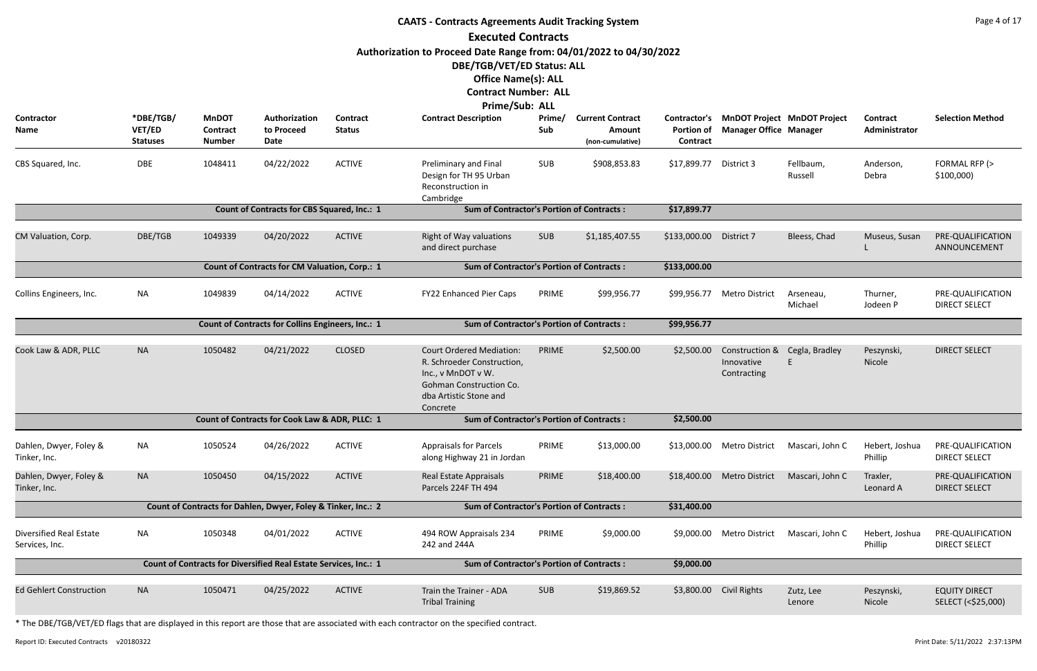|                                                  |                                        |                                                  |                                                                  |                           | <b>CAATS - Contracts Agreements Audit Tracking System</b>                                                                                                   |               |                                                       |                               |                                             |                                          |                           | Page 4 of 17                               |
|--------------------------------------------------|----------------------------------------|--------------------------------------------------|------------------------------------------------------------------|---------------------------|-------------------------------------------------------------------------------------------------------------------------------------------------------------|---------------|-------------------------------------------------------|-------------------------------|---------------------------------------------|------------------------------------------|---------------------------|--------------------------------------------|
|                                                  |                                        |                                                  |                                                                  |                           | <b>Executed Contracts</b>                                                                                                                                   |               |                                                       |                               |                                             |                                          |                           |                                            |
|                                                  |                                        |                                                  |                                                                  |                           | Authorization to Proceed Date Range from: 04/01/2022 to 04/30/2022<br>DBE/TGB/VET/ED Status: ALL                                                            |               |                                                       |                               |                                             |                                          |                           |                                            |
|                                                  |                                        |                                                  |                                                                  |                           | <b>Office Name(s): ALL</b><br><b>Contract Number: ALL</b>                                                                                                   |               |                                                       |                               |                                             |                                          |                           |                                            |
|                                                  |                                        |                                                  |                                                                  |                           | Prime/Sub: ALL                                                                                                                                              |               |                                                       |                               |                                             |                                          |                           |                                            |
| Contractor<br>Name                               | *DBE/TGB/<br>VET/ED<br><b>Statuses</b> | <b>MnDOT</b><br><b>Contract</b><br><b>Number</b> | Authorization<br>to Proceed<br>Date                              | Contract<br><b>Status</b> | <b>Contract Description</b>                                                                                                                                 | Prime/<br>Sub | <b>Current Contract</b><br>Amount<br>(non-cumulative) | <b>Portion of</b><br>Contract | <b>Manager Office Manager</b>               | Contractor's MnDOT Project MnDOT Project | Contract<br>Administrator | <b>Selection Method</b>                    |
| CBS Squared, Inc.                                | DBE                                    | 1048411                                          | 04/22/2022                                                       | <b>ACTIVE</b>             | Preliminary and Final<br>Design for TH 95 Urban<br>Reconstruction in<br>Cambridge                                                                           | <b>SUB</b>    | \$908,853.83                                          | \$17,899.77                   | District 3                                  | Fellbaum,<br>Russell                     | Anderson,<br>Debra        | FORMAL RFP (><br>\$100,000                 |
|                                                  |                                        |                                                  | <b>Count of Contracts for CBS Squared, Inc.: 1</b>               |                           | <b>Sum of Contractor's Portion of Contracts:</b>                                                                                                            |               |                                                       | \$17,899.77                   |                                             |                                          |                           |                                            |
| CM Valuation, Corp.                              | DBE/TGB                                | 1049339                                          | 04/20/2022                                                       | <b>ACTIVE</b>             | <b>Right of Way valuations</b><br>and direct purchase                                                                                                       | <b>SUB</b>    | \$1,185,407.55                                        | \$133,000.00                  | District 7                                  | Bleess, Chad                             | Museus, Susan             | PRE-QUALIFICATION<br>ANNOUNCEMENT          |
|                                                  |                                        |                                                  | <b>Count of Contracts for CM Valuation, Corp.: 1</b>             |                           | <b>Sum of Contractor's Portion of Contracts:</b>                                                                                                            |               |                                                       | \$133,000.00                  |                                             |                                          |                           |                                            |
| Collins Engineers, Inc.                          | <b>NA</b>                              | 1049839                                          | 04/14/2022                                                       | <b>ACTIVE</b>             | FY22 Enhanced Pier Caps                                                                                                                                     | PRIME         | \$99,956.77                                           | \$99,956.77                   | <b>Metro District</b>                       | Arseneau,<br>Michael                     | Thurner,<br>Jodeen P      | PRE-QUALIFICATION<br><b>DIRECT SELECT</b>  |
|                                                  |                                        |                                                  | <b>Count of Contracts for Collins Engineers, Inc.: 1</b>         |                           | <b>Sum of Contractor's Portion of Contracts:</b>                                                                                                            |               |                                                       | \$99,956.77                   |                                             |                                          |                           |                                            |
| Cook Law & ADR, PLLC                             | <b>NA</b>                              | 1050482                                          | 04/21/2022                                                       | <b>CLOSED</b>             | <b>Court Ordered Mediation:</b><br>R. Schroeder Construction,<br>Inc., v MnDOT v W.<br><b>Gohman Construction Co.</b><br>dba Artistic Stone and<br>Concrete | PRIME         | \$2,500.00                                            | \$2,500.00                    | Construction &<br>Innovative<br>Contracting | Cegla, Bradley                           | Peszynski,<br>Nicole      | <b>DIRECT SELECT</b>                       |
|                                                  |                                        |                                                  | Count of Contracts for Cook Law & ADR, PLLC: 1                   |                           | <b>Sum of Contractor's Portion of Contracts:</b>                                                                                                            |               |                                                       | \$2,500.00                    |                                             |                                          |                           |                                            |
| Dahlen, Dwyer, Foley &<br>Tinker, Inc.           | <b>NA</b>                              | 1050524                                          | 04/26/2022                                                       | <b>ACTIVE</b>             | <b>Appraisals for Parcels</b><br>along Highway 21 in Jordan                                                                                                 | PRIME         | \$13,000.00                                           | \$13,000.00                   | Metro District                              | Mascari, John C                          | Hebert, Joshua<br>Phillip | PRE-QUALIFICATION<br><b>DIRECT SELECT</b>  |
| Dahlen, Dwyer, Foley &<br>Tinker, Inc.           | <b>NA</b>                              | 1050450                                          | 04/15/2022                                                       | <b>ACTIVE</b>             | Real Estate Appraisals<br>Parcels 224F TH 494                                                                                                               | PRIME         | \$18,400.00                                           | \$18,400.00                   | Metro District                              | Mascari, John C                          | Traxler,<br>Leonard A     | PRE-QUALIFICATION<br><b>DIRECT SELECT</b>  |
|                                                  |                                        |                                                  | Count of Contracts for Dahlen, Dwyer, Foley & Tinker, Inc.: 2    |                           | <b>Sum of Contractor's Portion of Contracts:</b>                                                                                                            |               |                                                       | \$31,400.00                   |                                             |                                          |                           |                                            |
| <b>Diversified Real Estate</b><br>Services, Inc. | <b>NA</b>                              | 1050348                                          | 04/01/2022                                                       | <b>ACTIVE</b>             | 494 ROW Appraisals 234<br>242 and 244A                                                                                                                      | PRIME         | \$9,000.00                                            | \$9,000.00                    | <b>Metro District</b>                       | Mascari, John C                          | Hebert, Joshua<br>Phillip | PRE-QUALIFICATION<br><b>DIRECT SELECT</b>  |
|                                                  |                                        |                                                  | Count of Contracts for Diversified Real Estate Services, Inc.: 1 |                           | <b>Sum of Contractor's Portion of Contracts:</b>                                                                                                            |               |                                                       | \$9,000.00                    |                                             |                                          |                           |                                            |
| <b>Ed Gehlert Construction</b>                   | <b>NA</b>                              | 1050471                                          | 04/25/2022                                                       | <b>ACTIVE</b>             | Train the Trainer - ADA<br><b>Tribal Training</b>                                                                                                           | <b>SUB</b>    | \$19,869.52                                           | \$3,800.00                    | Civil Rights                                | Zutz, Lee<br>Lenore                      | Peszynski,<br>Nicole      | <b>EQUITY DIRECT</b><br>SELECT (<\$25,000) |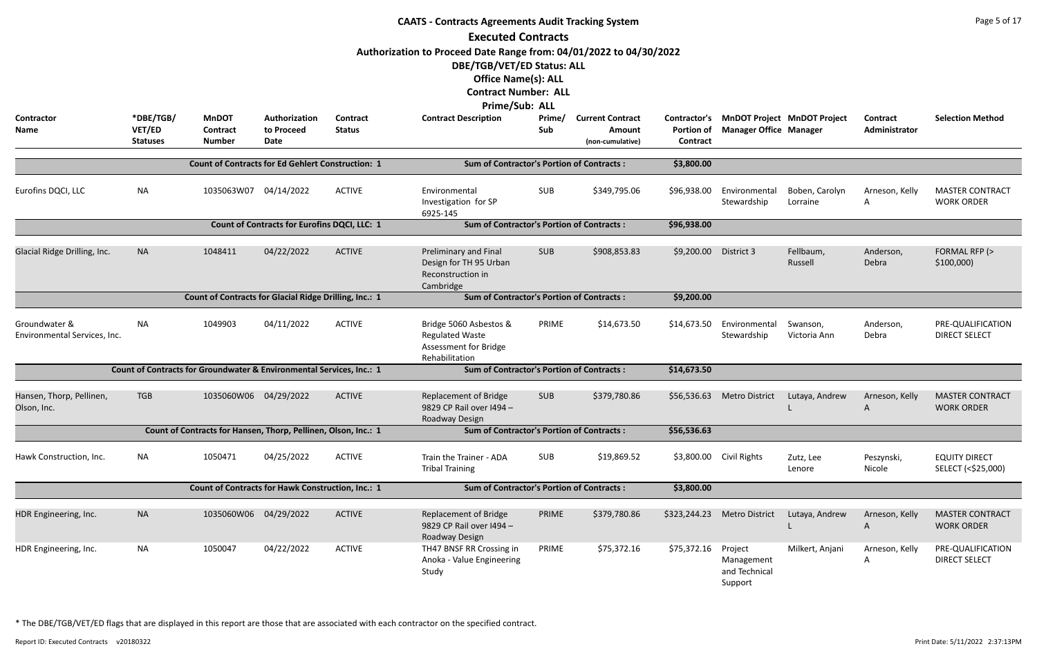|                                               |                                        |                                                                      |                                                     |                                  | <b>CAATS - Contracts Agreements Audit Tracking System</b><br><b>Executed Contracts</b><br>Authorization to Proceed Date Range from: 04/01/2022 to 04/30/2022<br>DBE/TGB/VET/ED Status: ALL<br><b>Office Name(s): ALL</b><br><b>Contract Number: ALL</b> |               |                                                       |                                      |                                                   |                                          |                           | Page 5 of 17                                |
|-----------------------------------------------|----------------------------------------|----------------------------------------------------------------------|-----------------------------------------------------|----------------------------------|---------------------------------------------------------------------------------------------------------------------------------------------------------------------------------------------------------------------------------------------------------|---------------|-------------------------------------------------------|--------------------------------------|---------------------------------------------------|------------------------------------------|---------------------------|---------------------------------------------|
| <b>Contractor</b><br>Name                     | *DBE/TGB/<br>VET/ED<br><b>Statuses</b> | <b>MnDOT</b><br>Contract<br><b>Number</b>                            | Authorization<br>to Proceed<br>Date                 | <b>Contract</b><br><b>Status</b> | Prime/Sub: ALL<br><b>Contract Description</b>                                                                                                                                                                                                           | Prime/<br>Sub | <b>Current Contract</b><br>Amount<br>(non-cumulative) | <b>Portion of</b><br><b>Contract</b> | <b>Manager Office Manager</b>                     | Contractor's MnDOT Project MnDOT Project | Contract<br>Administrator | <b>Selection Method</b>                     |
|                                               |                                        | <b>Count of Contracts for Ed Gehlert Construction: 1</b>             |                                                     |                                  | <b>Sum of Contractor's Portion of Contracts:</b>                                                                                                                                                                                                        |               |                                                       | \$3,800.00                           |                                                   |                                          |                           |                                             |
| Eurofins DQCI, LLC                            | <b>NA</b>                              | 1035063W07                                                           | 04/14/2022                                          | <b>ACTIVE</b>                    | Environmental<br>Investigation for SP<br>6925-145                                                                                                                                                                                                       | SUB           | \$349,795.06                                          | \$96,938.00                          | Environmental<br>Stewardship                      | Boben, Carolyn<br>Lorraine               | Arneson, Kelly<br>A       | <b>MASTER CONTRACT</b><br><b>WORK ORDER</b> |
|                                               |                                        |                                                                      | <b>Count of Contracts for Eurofins DQCI, LLC: 1</b> |                                  | <b>Sum of Contractor's Portion of Contracts:</b>                                                                                                                                                                                                        |               |                                                       | \$96,938.00                          |                                                   |                                          |                           |                                             |
| Glacial Ridge Drilling, Inc.                  | <b>NA</b>                              | 1048411                                                              | 04/22/2022                                          | <b>ACTIVE</b>                    | Preliminary and Final<br>Design for TH 95 Urban<br>Reconstruction in<br>Cambridge                                                                                                                                                                       | <b>SUB</b>    | \$908,853.83                                          | \$9,200.00                           | District 3                                        | Fellbaum,<br>Russell                     | Anderson,<br>Debra        | FORMAL RFP (><br>\$100,000                  |
|                                               |                                        | Count of Contracts for Glacial Ridge Drilling, Inc.: 1               |                                                     |                                  | <b>Sum of Contractor's Portion of Contracts:</b>                                                                                                                                                                                                        |               |                                                       | \$9,200.00                           |                                                   |                                          |                           |                                             |
| Groundwater &<br>Environmental Services, Inc. | ΝA                                     | 1049903                                                              | 04/11/2022                                          | <b>ACTIVE</b>                    | Bridge 5060 Asbestos &<br><b>Regulated Waste</b><br>Assessment for Bridge<br>Rehabilitation                                                                                                                                                             | PRIME         | \$14,673.50                                           | \$14,673.50                          | Environmental<br>Stewardship                      | Swanson,<br>Victoria Ann                 | Anderson,<br>Debra        | PRE-QUALIFICATION<br><b>DIRECT SELECT</b>   |
|                                               |                                        | Count of Contracts for Groundwater & Environmental Services, Inc.: 1 |                                                     |                                  | <b>Sum of Contractor's Portion of Contracts:</b>                                                                                                                                                                                                        |               |                                                       | \$14,673.50                          |                                                   |                                          |                           |                                             |
| Hansen, Thorp, Pellinen,<br>Olson, Inc.       | TGB                                    | 1035060W06 04/29/2022                                                |                                                     | <b>ACTIVE</b>                    | <b>Replacement of Bridge</b><br>9829 CP Rail over I494 -<br>Roadway Design                                                                                                                                                                              | <b>SUB</b>    | \$379,780.86                                          |                                      | \$56,536.63 Metro District                        | Lutaya, Andrew                           | Arneson, Kelly<br>A       | <b>MASTER CONTRACT</b><br><b>WORK ORDER</b> |
|                                               |                                        | Count of Contracts for Hansen, Thorp, Pellinen, Olson, Inc.: 1       |                                                     |                                  | <b>Sum of Contractor's Portion of Contracts:</b>                                                                                                                                                                                                        |               |                                                       | \$56,536.63                          |                                                   |                                          |                           |                                             |
| Hawk Construction, Inc.                       | NA                                     | 1050471                                                              | 04/25/2022                                          | <b>ACTIVE</b>                    | Train the Trainer - ADA<br><b>Tribal Training</b>                                                                                                                                                                                                       | SUB           | \$19,869.52                                           |                                      | \$3,800.00 Civil Rights                           | Zutz, Lee<br>Lenore                      | Peszynski,<br>Nicole      | <b>EQUITY DIRECT</b><br>SELECT (<\$25,000)  |
|                                               |                                        | Count of Contracts for Hawk Construction, Inc.: 1                    |                                                     |                                  | <b>Sum of Contractor's Portion of Contracts:</b>                                                                                                                                                                                                        |               |                                                       | \$3,800.00                           |                                                   |                                          |                           |                                             |
| HDR Engineering, Inc.                         | <b>NA</b>                              | 1035060W06 04/29/2022                                                |                                                     | <b>ACTIVE</b>                    | <b>Replacement of Bridge</b><br>9829 CP Rail over I494 -<br>Roadway Design                                                                                                                                                                              | PRIME         | \$379,780.86                                          | \$323,244.23                         | Metro District                                    | Lutaya, Andrew                           | Arneson, Kelly<br>A       | <b>MASTER CONTRACT</b><br><b>WORK ORDER</b> |
| HDR Engineering, Inc.                         | <b>NA</b>                              | 1050047                                                              | 04/22/2022                                          | <b>ACTIVE</b>                    | TH47 BNSF RR Crossing in<br>Anoka - Value Engineering<br>Study                                                                                                                                                                                          | PRIME         | \$75,372.16                                           | \$75,372.16                          | Project<br>Management<br>and Technical<br>Support | Milkert, Anjani                          | Arneson, Kelly<br>A       | PRE-QUALIFICATION<br><b>DIRECT SELECT</b>   |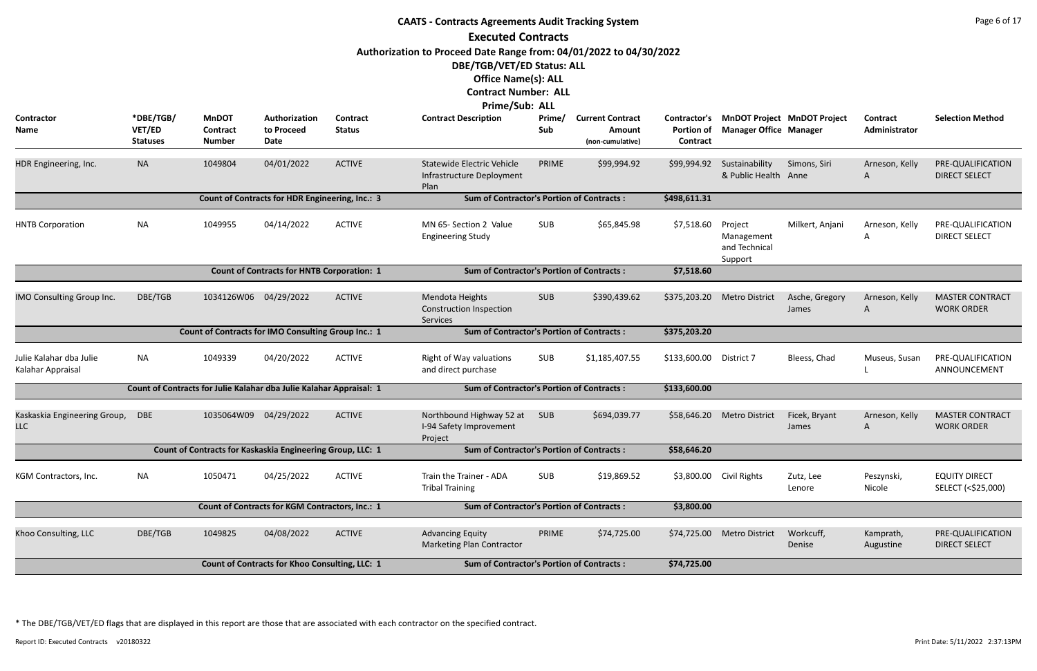|                                              | <b>CAATS - Contracts Agreements Audit Tracking System</b><br><b>Executed Contracts</b> |                                                                     |                                                        |                           |                                                                                                                                                                                 |               |                                                              |                                        |                                                   |                                    |                           |                                             |  |  |
|----------------------------------------------|----------------------------------------------------------------------------------------|---------------------------------------------------------------------|--------------------------------------------------------|---------------------------|---------------------------------------------------------------------------------------------------------------------------------------------------------------------------------|---------------|--------------------------------------------------------------|----------------------------------------|---------------------------------------------------|------------------------------------|---------------------------|---------------------------------------------|--|--|
|                                              |                                                                                        |                                                                     |                                                        |                           | Authorization to Proceed Date Range from: 04/01/2022 to 04/30/2022<br>DBE/TGB/VET/ED Status: ALL<br><b>Office Name(s): ALL</b><br><b>Contract Number: ALL</b><br>Prime/Sub: ALL |               |                                                              |                                        |                                                   |                                    |                           |                                             |  |  |
| Contractor<br>Name                           | *DBE/TGB/<br>VET/ED<br><b>Statuses</b>                                                 | <b>MnDOT</b><br><b>Contract</b><br><b>Number</b>                    | Authorization<br>to Proceed<br><b>Date</b>             | Contract<br><b>Status</b> | <b>Contract Description</b>                                                                                                                                                     | Prime/<br>Sub | <b>Current Contract</b><br><b>Amount</b><br>(non-cumulative) | Contractor's<br>Portion of<br>Contract | <b>Manager Office Manager</b>                     | <b>MnDOT Project MnDOT Project</b> | Contract<br>Administrator | <b>Selection Method</b>                     |  |  |
| HDR Engineering, Inc.                        | <b>NA</b>                                                                              | 1049804                                                             | 04/01/2022                                             | <b>ACTIVE</b>             | <b>Statewide Electric Vehicle</b><br>Infrastructure Deployment<br>Plan                                                                                                          | PRIME         | \$99,994.92                                                  | \$99,994.92                            | Sustainability<br>& Public Health Anne            | Simons, Siri                       | Arneson, Kelly<br>A       | PRE-QUALIFICATION<br><b>DIRECT SELECT</b>   |  |  |
|                                              |                                                                                        |                                                                     | <b>Count of Contracts for HDR Engineering, Inc.: 3</b> |                           | <b>Sum of Contractor's Portion of Contracts:</b>                                                                                                                                |               |                                                              | \$498,611.31                           |                                                   |                                    |                           |                                             |  |  |
| <b>HNTB Corporation</b>                      | <b>NA</b>                                                                              | 1049955                                                             | 04/14/2022                                             | <b>ACTIVE</b>             | MN 65- Section 2 Value<br><b>Engineering Study</b>                                                                                                                              | <b>SUB</b>    | \$65,845.98                                                  | \$7,518.60                             | Project<br>Management<br>and Technical<br>Support | Milkert, Anjani                    | Arneson, Kelly<br>Α       | PRE-QUALIFICATION<br><b>DIRECT SELECT</b>   |  |  |
|                                              |                                                                                        |                                                                     | <b>Count of Contracts for HNTB Corporation: 1</b>      |                           | <b>Sum of Contractor's Portion of Contracts:</b>                                                                                                                                |               |                                                              | \$7,518.60                             |                                                   |                                    |                           |                                             |  |  |
| IMO Consulting Group Inc.                    | DBE/TGB                                                                                | 1034126W06 04/29/2022                                               |                                                        | <b>ACTIVE</b>             | Mendota Heights<br><b>Construction Inspection</b><br>Services                                                                                                                   | <b>SUB</b>    | \$390,439.62                                                 | \$375,203.20                           | <b>Metro District</b>                             | Asche, Gregory<br>James            | Arneson, Kelly<br>A       | <b>MASTER CONTRACT</b><br><b>WORK ORDER</b> |  |  |
|                                              |                                                                                        | Count of Contracts for IMO Consulting Group Inc.: 1                 |                                                        |                           | <b>Sum of Contractor's Portion of Contracts:</b>                                                                                                                                |               |                                                              | \$375,203.20                           |                                                   |                                    |                           |                                             |  |  |
| Julie Kalahar dba Julie<br>Kalahar Appraisal | <b>NA</b>                                                                              | 1049339                                                             | 04/20/2022                                             | <b>ACTIVE</b>             | Right of Way valuations<br>and direct purchase                                                                                                                                  | <b>SUB</b>    | \$1,185,407.55                                               | \$133,600.00                           | District 7                                        | Bleess, Chad                       | Museus, Susan             | PRE-QUALIFICATION<br>ANNOUNCEMENT           |  |  |
|                                              |                                                                                        | Count of Contracts for Julie Kalahar dba Julie Kalahar Appraisal: 1 |                                                        |                           | <b>Sum of Contractor's Portion of Contracts:</b>                                                                                                                                |               |                                                              | \$133,600.00                           |                                                   |                                    |                           |                                             |  |  |
| Kaskaskia Engineering Group,<br><b>LLC</b>   | <b>DBE</b>                                                                             | 1035064W09                                                          | 04/29/2022                                             | <b>ACTIVE</b>             | Northbound Highway 52 at<br>I-94 Safety Improvement<br>Project                                                                                                                  | <b>SUB</b>    | \$694,039.77                                                 | \$58,646.20                            | <b>Metro District</b>                             | Ficek, Bryant<br>James             | Arneson, Kelly<br>A       | <b>MASTER CONTRACT</b><br><b>WORK ORDER</b> |  |  |
|                                              |                                                                                        | Count of Contracts for Kaskaskia Engineering Group, LLC: 1          |                                                        |                           | <b>Sum of Contractor's Portion of Contracts:</b>                                                                                                                                |               |                                                              | \$58,646.20                            |                                                   |                                    |                           |                                             |  |  |
| KGM Contractors, Inc.                        | <b>NA</b>                                                                              | 1050471                                                             | 04/25/2022                                             | <b>ACTIVE</b>             | Train the Trainer - ADA<br><b>Tribal Training</b>                                                                                                                               | <b>SUB</b>    | \$19,869.52                                                  | \$3,800.00                             | <b>Civil Rights</b>                               | Zutz, Lee<br>Lenore                | Peszynski,<br>Nicole      | <b>EQUITY DIRECT</b><br>SELECT (<\$25,000)  |  |  |
|                                              |                                                                                        |                                                                     | Count of Contracts for KGM Contractors, Inc.: 1        |                           | <b>Sum of Contractor's Portion of Contracts:</b>                                                                                                                                |               |                                                              | \$3,800.00                             |                                                   |                                    |                           |                                             |  |  |
| Khoo Consulting, LLC                         | DBE/TGB                                                                                | 1049825                                                             | 04/08/2022                                             | <b>ACTIVE</b>             | <b>Advancing Equity</b><br>Marketing Plan Contractor                                                                                                                            | PRIME         | \$74,725.00                                                  | \$74,725.00                            | <b>Metro District</b>                             | Workcuff,<br>Denise                | Kamprath,<br>Augustine    | PRE-QUALIFICATION<br><b>DIRECT SELECT</b>   |  |  |
|                                              |                                                                                        |                                                                     | Count of Contracts for Khoo Consulting, LLC: 1         |                           | <b>Sum of Contractor's Portion of Contracts:</b>                                                                                                                                |               |                                                              | \$74,725.00                            |                                                   |                                    |                           |                                             |  |  |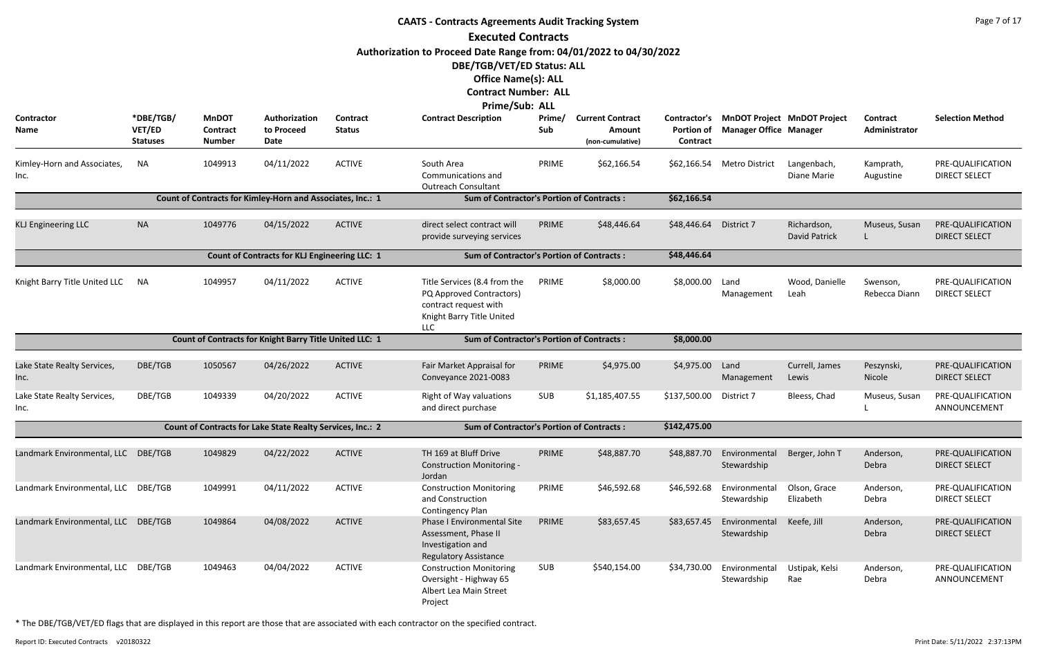|                                     |                                        |                                           |                                                            |                           | <b>CAATS - Contracts Agreements Audit Tracking System</b>                                                                      |               |                                                       |                                               |                               |                                    |                                  | Page 7 of 17                              |
|-------------------------------------|----------------------------------------|-------------------------------------------|------------------------------------------------------------|---------------------------|--------------------------------------------------------------------------------------------------------------------------------|---------------|-------------------------------------------------------|-----------------------------------------------|-------------------------------|------------------------------------|----------------------------------|-------------------------------------------|
|                                     |                                        |                                           |                                                            |                           | <b>Executed Contracts</b>                                                                                                      |               |                                                       |                                               |                               |                                    |                                  |                                           |
|                                     |                                        |                                           |                                                            |                           | Authorization to Proceed Date Range from: 04/01/2022 to 04/30/2022<br>DBE/TGB/VET/ED Status: ALL<br><b>Office Name(s): ALL</b> |               |                                                       |                                               |                               |                                    |                                  |                                           |
|                                     |                                        |                                           |                                                            |                           | <b>Contract Number: ALL</b><br>Prime/Sub: ALL                                                                                  |               |                                                       |                                               |                               |                                    |                                  |                                           |
| Contractor<br>Name                  | *DBE/TGB/<br>VET/ED<br><b>Statuses</b> | <b>MnDOT</b><br>Contract<br><b>Number</b> | Authorization<br>to Proceed<br>Date                        | Contract<br><b>Status</b> | <b>Contract Description</b>                                                                                                    | Prime/<br>Sub | <b>Current Contract</b><br>Amount<br>(non-cumulative) | Contractor's<br><b>Portion of</b><br>Contract | <b>Manager Office Manager</b> | <b>MnDOT Project MnDOT Project</b> | <b>Contract</b><br>Administrator | <b>Selection Method</b>                   |
| Kimley-Horn and Associates,<br>Inc. | <b>NA</b>                              | 1049913                                   | 04/11/2022                                                 | <b>ACTIVE</b>             | South Area<br>Communications and<br><b>Outreach Consultant</b>                                                                 | PRIME         | \$62,166.54                                           | \$62,166.54                                   | <b>Metro District</b>         | Langenbach,<br>Diane Marie         | Kamprath,<br>Augustine           | PRE-QUALIFICATION<br><b>DIRECT SELECT</b> |
|                                     |                                        |                                           | Count of Contracts for Kimley-Horn and Associates, Inc.: 1 |                           | <b>Sum of Contractor's Portion of Contracts:</b>                                                                               |               |                                                       | \$62,166.54                                   |                               |                                    |                                  |                                           |
| <b>KLJ Engineering LLC</b>          | <b>NA</b>                              | 1049776                                   | 04/15/2022                                                 | <b>ACTIVE</b>             | direct select contract will<br>provide surveying services                                                                      | PRIME         | \$48,446.64                                           | \$48,446.64                                   | District 7                    | Richardson,<br>David Patrick       | Museus, Susan                    | PRE-QUALIFICATION<br><b>DIRECT SELECT</b> |
|                                     |                                        |                                           | <b>Count of Contracts for KLJ Engineering LLC: 1</b>       |                           | <b>Sum of Contractor's Portion of Contracts:</b>                                                                               |               |                                                       | \$48,446.64                                   |                               |                                    |                                  |                                           |
| Knight Barry Title United LLC       | ΝA                                     | 1049957                                   | 04/11/2022                                                 | <b>ACTIVE</b>             | Title Services (8.4 from the<br>PQ Approved Contractors)<br>contract request with<br>Knight Barry Title United<br>LLC          | PRIME         | \$8,000.00                                            | \$8,000.00                                    | Land<br>Management            | Wood, Danielle<br>Leah             | Swenson,<br>Rebecca Diann        | PRE-QUALIFICATION<br><b>DIRECT SELECT</b> |
|                                     |                                        |                                           | Count of Contracts for Knight Barry Title United LLC: 1    |                           | <b>Sum of Contractor's Portion of Contracts:</b>                                                                               |               |                                                       | \$8,000.00                                    |                               |                                    |                                  |                                           |
| Lake State Realty Services,<br>Inc. | DBE/TGB                                | 1050567                                   | 04/26/2022                                                 | <b>ACTIVE</b>             | Fair Market Appraisal for<br>Conveyance 2021-0083                                                                              | PRIME         | \$4,975.00                                            | \$4,975.00                                    | Land<br>Management            | Currell, James<br>Lewis            | Peszynski,<br>Nicole             | PRE-QUALIFICATION<br><b>DIRECT SELECT</b> |
| Lake State Realty Services,<br>Inc. | DBE/TGB                                | 1049339                                   | 04/20/2022                                                 | <b>ACTIVE</b>             | Right of Way valuations<br>and direct purchase                                                                                 | SUB           | \$1,185,407.55                                        | \$137,500.00                                  | District 7                    | Bleess, Chad                       | Museus, Susan                    | PRE-QUALIFICATION<br>ANNOUNCEMENT         |
|                                     |                                        |                                           | Count of Contracts for Lake State Realty Services, Inc.: 2 |                           | <b>Sum of Contractor's Portion of Contracts:</b>                                                                               |               |                                                       | \$142,475.00                                  |                               |                                    |                                  |                                           |
| Landmark Environmental, LLC         | DBE/TGB                                | 1049829                                   | 04/22/2022                                                 | <b>ACTIVE</b>             | TH 169 at Bluff Drive<br><b>Construction Monitoring -</b><br>Jordan                                                            | PRIME         | \$48,887.70                                           | \$48,887.70                                   | Environmental<br>Stewardship  | Berger, John T                     | Anderson,<br>Debra               | PRE-QUALIFICATION<br><b>DIRECT SELECT</b> |
| Landmark Environmental, LLC DBE/TGB |                                        | 1049991                                   | 04/11/2022                                                 | <b>ACTIVE</b>             | <b>Construction Monitoring</b><br>and Construction<br><b>Contingency Plan</b>                                                  | PRIME         | \$46,592.68                                           | \$46,592.68                                   | Environmental<br>Stewardship  | Olson, Grace<br>Elizabeth          | Anderson,<br>Debra               | PRE-QUALIFICATION<br><b>DIRECT SELECT</b> |
| Landmark Environmental, LLC DBE/TGB |                                        | 1049864                                   | 04/08/2022                                                 | <b>ACTIVE</b>             | <b>Phase I Environmental Site</b><br>Assessment, Phase II<br>Investigation and<br><b>Regulatory Assistance</b>                 | PRIME         | \$83,657.45                                           | \$83,657.45                                   | Environmental<br>Stewardship  | Keefe, Jill                        | Anderson,<br>Debra               | PRE-QUALIFICATION<br><b>DIRECT SELECT</b> |
| Landmark Environmental, LLC DBE/TGB |                                        | 1049463                                   | 04/04/2022                                                 | <b>ACTIVE</b>             | <b>Construction Monitoring</b><br>Oversight - Highway 65<br>Albert Lea Main Street<br>Project                                  | <b>SUB</b>    | \$540,154.00                                          | \$34,730.00                                   | Environmental<br>Stewardship  | Ustipak, Kelsi<br>Rae              | Anderson,<br>Debra               | PRE-QUALIFICATION<br>ANNOUNCEMENT         |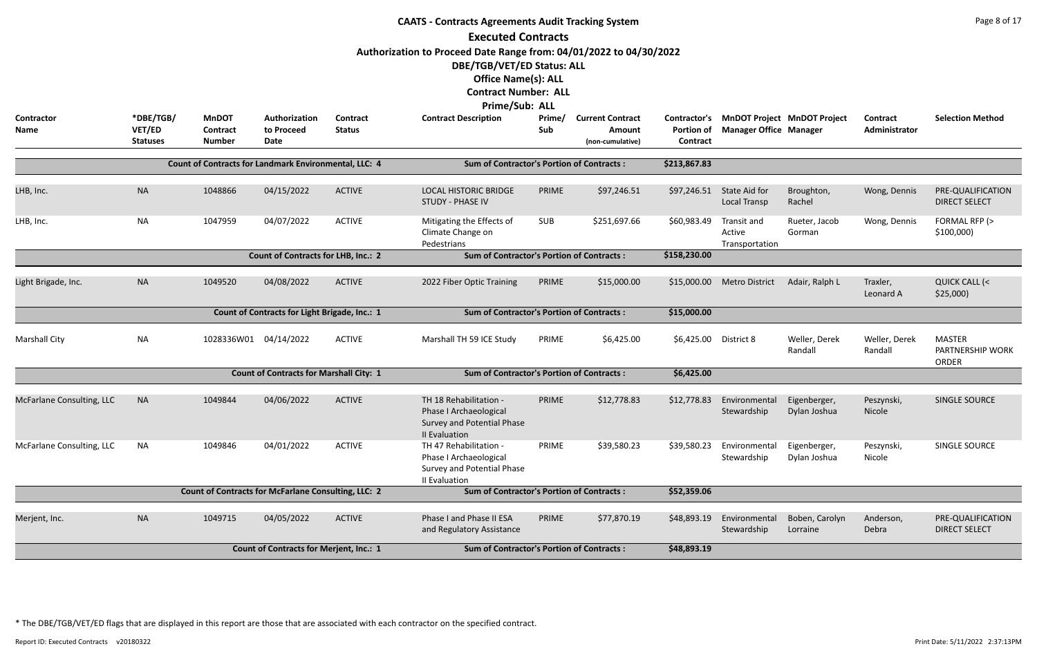|                           | <b>CAATS - Contracts Agreements Audit Tracking System</b><br><b>Executed Contracts</b><br>Authorization to Proceed Date Range from: 04/01/2022 to 04/30/2022<br>DBE/TGB/VET/ED Status: ALL |                                                            |                                                |                           |                                                                                                 |               |                                                       |                                                      |                                         |                                    |                           |                                                   |  |  |
|---------------------------|--------------------------------------------------------------------------------------------------------------------------------------------------------------------------------------------|------------------------------------------------------------|------------------------------------------------|---------------------------|-------------------------------------------------------------------------------------------------|---------------|-------------------------------------------------------|------------------------------------------------------|-----------------------------------------|------------------------------------|---------------------------|---------------------------------------------------|--|--|
|                           |                                                                                                                                                                                            |                                                            |                                                |                           | <b>Office Name(s): ALL</b><br><b>Contract Number: ALL</b><br><b>Prime/Sub: ALL</b>              |               |                                                       |                                                      |                                         |                                    |                           |                                                   |  |  |
| <b>Contractor</b><br>Name | *DBE/TGB/<br>VET/ED<br><b>Statuses</b>                                                                                                                                                     | <b>MnDOT</b><br><b>Contract</b><br><b>Number</b>           | Authorization<br>to Proceed<br><b>Date</b>     | Contract<br><b>Status</b> | <b>Contract Description</b>                                                                     | Prime/<br>Sub | <b>Current Contract</b><br>Amount<br>(non-cumulative) | <b>Contractor's</b><br><b>Portion of</b><br>Contract | <b>Manager Office Manager</b>           | <b>MnDOT Project MnDOT Project</b> | Contract<br>Administrator | <b>Selection Method</b>                           |  |  |
|                           |                                                                                                                                                                                            | Count of Contracts for Landmark Environmental, LLC: 4      |                                                |                           | <b>Sum of Contractor's Portion of Contracts:</b>                                                |               |                                                       | \$213,867.83                                         |                                         |                                    |                           |                                                   |  |  |
| LHB, Inc.                 | <b>NA</b>                                                                                                                                                                                  | 1048866                                                    | 04/15/2022                                     | <b>ACTIVE</b>             | <b>LOCAL HISTORIC BRIDGE</b><br><b>STUDY - PHASE IV</b>                                         | PRIME         | \$97,246.51                                           | \$97,246.51                                          | State Aid for<br><b>Local Transp</b>    | Broughton,<br>Rachel               | Wong, Dennis              | PRE-QUALIFICATION<br><b>DIRECT SELECT</b>         |  |  |
| LHB, Inc.                 | <b>NA</b>                                                                                                                                                                                  | 1047959                                                    | 04/07/2022                                     | <b>ACTIVE</b>             | Mitigating the Effects of<br>Climate Change on<br>Pedestrians                                   | <b>SUB</b>    | \$251,697.66                                          | \$60,983.49                                          | Transit and<br>Active<br>Transportation | Rueter, Jacob<br>Gorman            | Wong, Dennis              | FORMAL RFP (><br>\$100,000                        |  |  |
|                           |                                                                                                                                                                                            |                                                            | <b>Count of Contracts for LHB, Inc.: 2</b>     |                           | <b>Sum of Contractor's Portion of Contracts:</b>                                                |               |                                                       | \$158,230.00                                         |                                         |                                    |                           |                                                   |  |  |
| Light Brigade, Inc.       | <b>NA</b>                                                                                                                                                                                  | 1049520                                                    | 04/08/2022                                     | <b>ACTIVE</b>             | 2022 Fiber Optic Training                                                                       | PRIME         | \$15,000.00                                           | \$15,000.00                                          | <b>Metro District</b>                   | Adair, Ralph L                     | Traxler,<br>Leonard A     | QUICK CALL (<<br>\$25,000                         |  |  |
|                           |                                                                                                                                                                                            |                                                            | Count of Contracts for Light Brigade, Inc.: 1  |                           | <b>Sum of Contractor's Portion of Contracts:</b>                                                |               |                                                       | \$15,000.00                                          |                                         |                                    |                           |                                                   |  |  |
| <b>Marshall City</b>      | <b>NA</b>                                                                                                                                                                                  | 1028336W01 04/14/2022                                      |                                                | <b>ACTIVE</b>             | Marshall TH 59 ICE Study                                                                        | PRIME         | \$6,425.00                                            | \$6,425.00                                           | District 8                              | Weller, Derek<br>Randall           | Weller, Derek<br>Randall  | <b>MASTER</b><br>PARTNERSHIP WORK<br><b>ORDER</b> |  |  |
|                           |                                                                                                                                                                                            |                                                            | <b>Count of Contracts for Marshall City: 1</b> |                           | <b>Sum of Contractor's Portion of Contracts:</b>                                                |               |                                                       | \$6,425.00                                           |                                         |                                    |                           |                                                   |  |  |
| McFarlane Consulting, LLC | <b>NA</b>                                                                                                                                                                                  | 1049844                                                    | 04/06/2022                                     | <b>ACTIVE</b>             | TH 18 Rehabilitation -<br>Phase I Archaeological<br>Survey and Potential Phase<br>II Evaluation | PRIME         | \$12,778.83                                           | \$12,778.83                                          | Environmental<br>Stewardship            | Eigenberger,<br>Dylan Joshua       | Peszynski,<br>Nicole      | SINGLE SOURCE                                     |  |  |
| McFarlane Consulting, LLC | <b>NA</b>                                                                                                                                                                                  | 1049846                                                    | 04/01/2022                                     | <b>ACTIVE</b>             | TH 47 Rehabilitation -<br>Phase I Archaeological<br>Survey and Potential Phase<br>II Evaluation | PRIME         | \$39,580.23                                           | \$39,580.23                                          | Environmental<br>Stewardship            | Eigenberger,<br>Dylan Joshua       | Peszynski,<br>Nicole      | SINGLE SOURCE                                     |  |  |
|                           |                                                                                                                                                                                            | <b>Count of Contracts for McFarlane Consulting, LLC: 2</b> |                                                |                           | <b>Sum of Contractor's Portion of Contracts:</b>                                                |               |                                                       | \$52,359.06                                          |                                         |                                    |                           |                                                   |  |  |
| Merjent, Inc.             | <b>NA</b>                                                                                                                                                                                  | 1049715                                                    | 04/05/2022                                     | <b>ACTIVE</b>             | Phase I and Phase II ESA<br>and Regulatory Assistance                                           | PRIME         | \$77,870.19                                           | \$48,893.19                                          | Environmental<br>Stewardship            | Boben, Carolyn<br>Lorraine         | Anderson,<br>Debra        | PRE-QUALIFICATION<br><b>DIRECT SELECT</b>         |  |  |
|                           |                                                                                                                                                                                            |                                                            | <b>Count of Contracts for Merjent, Inc.: 1</b> |                           | <b>Sum of Contractor's Portion of Contracts:</b>                                                |               |                                                       | \$48,893.19                                          |                                         |                                    |                           |                                                   |  |  |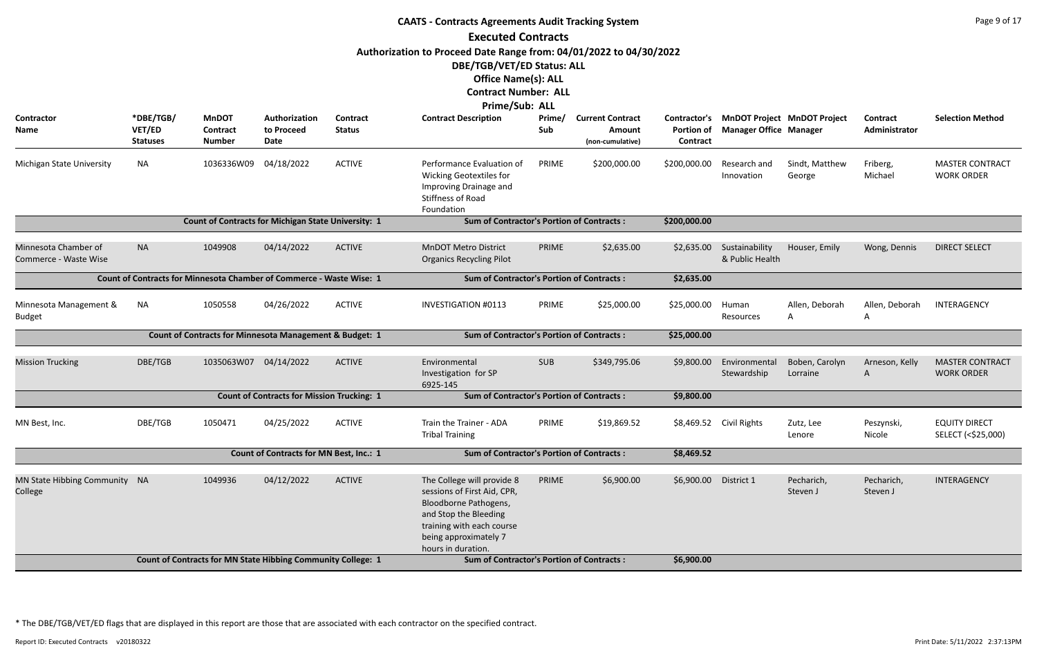|                                                                                                                         |                                        |                                                                      |                                                   |                           | <b>CAATS - Contracts Agreements Audit Tracking System</b>                                                                                                                               |               |                                                       |                                               |                                                                     |                            |                           | Page 9 of 17                                |  |  |
|-------------------------------------------------------------------------------------------------------------------------|----------------------------------------|----------------------------------------------------------------------|---------------------------------------------------|---------------------------|-----------------------------------------------------------------------------------------------------------------------------------------------------------------------------------------|---------------|-------------------------------------------------------|-----------------------------------------------|---------------------------------------------------------------------|----------------------------|---------------------------|---------------------------------------------|--|--|
|                                                                                                                         |                                        |                                                                      |                                                   |                           | <b>Executed Contracts</b>                                                                                                                                                               |               |                                                       |                                               |                                                                     |                            |                           |                                             |  |  |
|                                                                                                                         |                                        |                                                                      |                                                   |                           | Authorization to Proceed Date Range from: 04/01/2022 to 04/30/2022                                                                                                                      |               |                                                       |                                               |                                                                     |                            |                           |                                             |  |  |
|                                                                                                                         |                                        |                                                                      |                                                   |                           | DBE/TGB/VET/ED Status: ALL                                                                                                                                                              |               |                                                       |                                               |                                                                     |                            |                           |                                             |  |  |
|                                                                                                                         |                                        |                                                                      |                                                   |                           | <b>Office Name(s): ALL</b>                                                                                                                                                              |               |                                                       |                                               |                                                                     |                            |                           |                                             |  |  |
|                                                                                                                         |                                        |                                                                      |                                                   |                           | <b>Contract Number: ALL</b>                                                                                                                                                             |               |                                                       |                                               |                                                                     |                            |                           |                                             |  |  |
|                                                                                                                         |                                        |                                                                      |                                                   |                           | Prime/Sub: ALL                                                                                                                                                                          |               |                                                       |                                               |                                                                     |                            |                           |                                             |  |  |
| Contractor<br>Name                                                                                                      | *DBE/TGB/<br>VET/ED<br><b>Statuses</b> | <b>MnDOT</b><br><b>Contract</b><br><b>Number</b>                     | Authorization<br>to Proceed<br>Date               | Contract<br><b>Status</b> | <b>Contract Description</b>                                                                                                                                                             | Prime/<br>Sub | <b>Current Contract</b><br>Amount<br>(non-cumulative) | Contractor's<br><b>Portion of</b><br>Contract | <b>MnDOT Project MnDOT Project</b><br><b>Manager Office Manager</b> |                            | Contract<br>Administrator | <b>Selection Method</b>                     |  |  |
| Michigan State University                                                                                               | NA                                     | 1036336W09 04/18/2022                                                |                                                   | <b>ACTIVE</b>             | Performance Evaluation of<br><b>Wicking Geotextiles for</b><br>Improving Drainage and<br><b>Stiffness of Road</b><br>Foundation                                                         | PRIME         | \$200,000.00                                          | \$200,000.00                                  | Research and<br>Innovation                                          | Sindt, Matthew<br>George   | Friberg,<br>Michael       | <b>MASTER CONTRACT</b><br><b>WORK ORDER</b> |  |  |
| Count of Contracts for Michigan State University: 1<br><b>Sum of Contractor's Portion of Contracts:</b><br>\$200,000.00 |                                        |                                                                      |                                                   |                           |                                                                                                                                                                                         |               |                                                       |                                               |                                                                     |                            |                           |                                             |  |  |
|                                                                                                                         |                                        |                                                                      |                                                   |                           |                                                                                                                                                                                         |               |                                                       |                                               |                                                                     |                            |                           |                                             |  |  |
| Minnesota Chamber of<br>Commerce - Waste Wise                                                                           | <b>NA</b>                              | 1049908                                                              | 04/14/2022                                        | <b>ACTIVE</b>             | <b>MnDOT Metro District</b><br><b>Organics Recycling Pilot</b>                                                                                                                          | PRIME         | \$2,635.00                                            | \$2,635.00                                    | Sustainability<br>& Public Health                                   | Houser, Emily              | Wong, Dennis              | <b>DIRECT SELECT</b>                        |  |  |
|                                                                                                                         |                                        | Count of Contracts for Minnesota Chamber of Commerce - Waste Wise: 1 |                                                   |                           | <b>Sum of Contractor's Portion of Contracts:</b>                                                                                                                                        |               |                                                       | \$2,635.00                                    |                                                                     |                            |                           |                                             |  |  |
| Minnesota Management &<br><b>Budget</b>                                                                                 | <b>NA</b>                              | 1050558                                                              | 04/26/2022                                        | <b>ACTIVE</b>             | <b>INVESTIGATION #0113</b>                                                                                                                                                              | PRIME         | \$25,000.00                                           | \$25,000.00                                   | Human<br>Resources                                                  | Allen, Deborah<br>A        | Allen, Deborah<br>A       | INTERAGENCY                                 |  |  |
|                                                                                                                         |                                        | Count of Contracts for Minnesota Management & Budget: 1              |                                                   |                           | <b>Sum of Contractor's Portion of Contracts:</b>                                                                                                                                        |               |                                                       | \$25,000.00                                   |                                                                     |                            |                           |                                             |  |  |
| <b>Mission Trucking</b>                                                                                                 | DBE/TGB                                | 1035063W07                                                           | 04/14/2022                                        | <b>ACTIVE</b>             | Environmental<br>Investigation for SP<br>6925-145                                                                                                                                       | <b>SUB</b>    | \$349,795.06                                          | \$9,800.00                                    | Environmental<br>Stewardship                                        | Boben, Carolyn<br>Lorraine | Arneson, Kelly<br>A       | <b>MASTER CONTRACT</b><br><b>WORK ORDER</b> |  |  |
|                                                                                                                         |                                        |                                                                      | <b>Count of Contracts for Mission Trucking: 1</b> |                           | <b>Sum of Contractor's Portion of Contracts:</b>                                                                                                                                        |               |                                                       | \$9,800.00                                    |                                                                     |                            |                           |                                             |  |  |
| MN Best, Inc.                                                                                                           | DBE/TGB                                | 1050471                                                              | 04/25/2022                                        | <b>ACTIVE</b>             | Train the Trainer - ADA<br><b>Tribal Training</b>                                                                                                                                       | PRIME         | \$19,869.52                                           |                                               | \$8,469.52 Civil Rights                                             | Zutz, Lee<br>Lenore        | Peszynski,<br>Nicole      | <b>EQUITY DIRECT</b><br>SELECT (<\$25,000)  |  |  |
|                                                                                                                         |                                        |                                                                      | <b>Count of Contracts for MN Best, Inc.: 1</b>    |                           | <b>Sum of Contractor's Portion of Contracts:</b>                                                                                                                                        |               |                                                       | \$8,469.52                                    |                                                                     |                            |                           |                                             |  |  |
| MN State Hibbing Community NA<br>College                                                                                |                                        | 1049936                                                              | 04/12/2022                                        | <b>ACTIVE</b>             | The College will provide 8<br>sessions of First Aid, CPR,<br>Bloodborne Pathogens,<br>and Stop the Bleeding<br>training with each course<br>being approximately 7<br>hours in duration. | PRIME         | \$6,900.00                                            | \$6,900.00                                    | District 1                                                          | Pecharich,<br>Steven J     | Pecharich,<br>Steven J    | INTERAGENCY                                 |  |  |
|                                                                                                                         |                                        | Count of Contracts for MN State Hibbing Community College: 1         |                                                   |                           | <b>Sum of Contractor's Portion of Contracts:</b>                                                                                                                                        |               |                                                       | \$6,900.00                                    |                                                                     |                            |                           |                                             |  |  |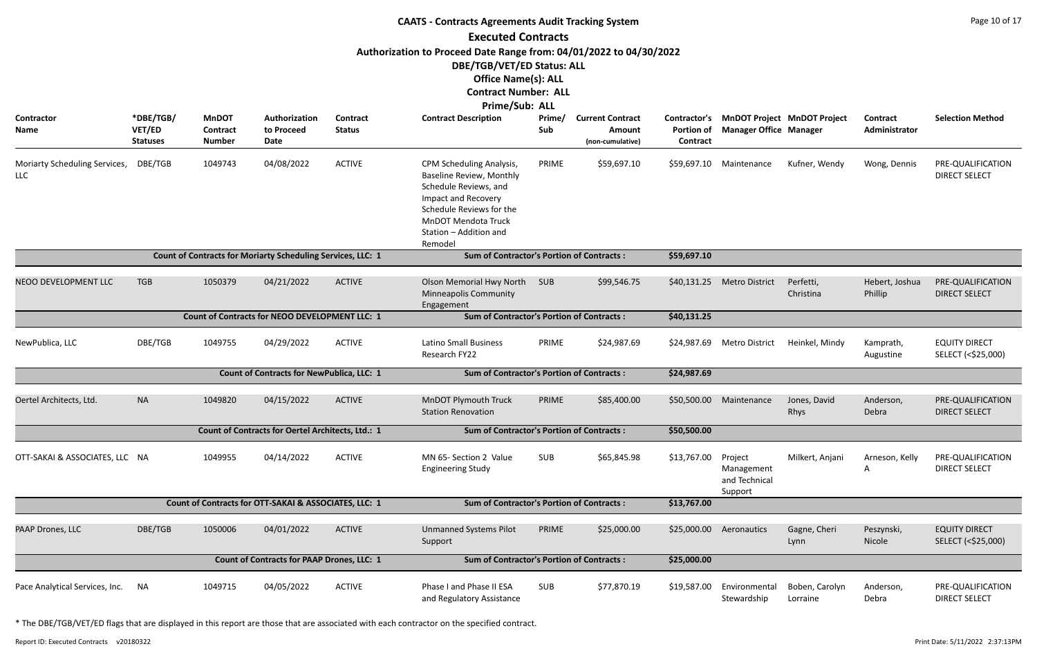|                                             |                                        |                                           |                                                             |                                  | <b>CAATS - Contracts Agreements Audit Tracking System</b>                                                                                                                                                         |               |                                                       |                               |                                                                           |                            |                           | Page 10 of 17                              |
|---------------------------------------------|----------------------------------------|-------------------------------------------|-------------------------------------------------------------|----------------------------------|-------------------------------------------------------------------------------------------------------------------------------------------------------------------------------------------------------------------|---------------|-------------------------------------------------------|-------------------------------|---------------------------------------------------------------------------|----------------------------|---------------------------|--------------------------------------------|
|                                             |                                        |                                           |                                                             |                                  | <b>Executed Contracts</b>                                                                                                                                                                                         |               |                                                       |                               |                                                                           |                            |                           |                                            |
|                                             |                                        |                                           |                                                             |                                  | Authorization to Proceed Date Range from: 04/01/2022 to 04/30/2022<br>DBE/TGB/VET/ED Status: ALL<br><b>Office Name(s): ALL</b>                                                                                    |               |                                                       |                               |                                                                           |                            |                           |                                            |
|                                             |                                        |                                           |                                                             |                                  | <b>Contract Number: ALL</b>                                                                                                                                                                                       |               |                                                       |                               |                                                                           |                            |                           |                                            |
| Contractor<br><b>Name</b>                   | *DBE/TGB/<br>VET/ED<br><b>Statuses</b> | <b>MnDOT</b><br>Contract<br><b>Number</b> | Authorization<br>to Proceed<br>Date                         | <b>Contract</b><br><b>Status</b> | Prime/Sub: ALL<br><b>Contract Description</b>                                                                                                                                                                     | Prime/<br>Sub | <b>Current Contract</b><br>Amount<br>(non-cumulative) | <b>Portion of</b><br>Contract | Contractor's MnDOT Project MnDOT Project<br><b>Manager Office Manager</b> |                            | Contract<br>Administrator | <b>Selection Method</b>                    |
| Moriarty Scheduling Services,<br><b>LLC</b> | DBE/TGB                                | 1049743                                   | 04/08/2022                                                  | <b>ACTIVE</b>                    | CPM Scheduling Analysis,<br><b>Baseline Review, Monthly</b><br>Schedule Reviews, and<br><b>Impact and Recovery</b><br>Schedule Reviews for the<br><b>MnDOT Mendota Truck</b><br>Station - Addition and<br>Remodel | PRIME         | \$59,697.10                                           | \$59,697.10                   | Maintenance                                                               | Kufner, Wendy              | Wong, Dennis              | PRE-QUALIFICATION<br><b>DIRECT SELECT</b>  |
|                                             |                                        |                                           | Count of Contracts for Moriarty Scheduling Services, LLC: 1 |                                  | <b>Sum of Contractor's Portion of Contracts:</b>                                                                                                                                                                  |               |                                                       | \$59,697.10                   |                                                                           |                            |                           |                                            |
| NEOO DEVELOPMENT LLC                        | <b>TGB</b>                             | 1050379                                   | 04/21/2022                                                  | <b>ACTIVE</b>                    | <b>Olson Memorial Hwy North</b><br><b>Minneapolis Community</b><br>Engagement                                                                                                                                     | SUB           | \$99,546.75                                           | \$40,131.25                   | <b>Metro District</b>                                                     | Perfetti,<br>Christina     | Hebert, Joshua<br>Phillip | PRE-QUALIFICATION<br><b>DIRECT SELECT</b>  |
|                                             |                                        |                                           | <b>Count of Contracts for NEOO DEVELOPMENT LLC: 1</b>       |                                  | <b>Sum of Contractor's Portion of Contracts:</b>                                                                                                                                                                  |               |                                                       | \$40,131.25                   |                                                                           |                            |                           |                                            |
| NewPublica, LLC                             | DBE/TGB                                | 1049755                                   | 04/29/2022                                                  | <b>ACTIVE</b>                    | <b>Latino Small Business</b><br>Research FY22                                                                                                                                                                     | PRIME         | \$24,987.69                                           | \$24,987.69                   | <b>Metro District</b>                                                     | Heinkel, Mindy             | Kamprath,<br>Augustine    | <b>EQUITY DIRECT</b><br>SELECT (<\$25,000) |
|                                             |                                        |                                           | <b>Count of Contracts for NewPublica, LLC: 1</b>            |                                  | <b>Sum of Contractor's Portion of Contracts:</b>                                                                                                                                                                  |               |                                                       | \$24,987.69                   |                                                                           |                            |                           |                                            |
| Oertel Architects, Ltd.                     | <b>NA</b>                              | 1049820                                   | 04/15/2022                                                  | <b>ACTIVE</b>                    | MnDOT Plymouth Truck<br><b>Station Renovation</b>                                                                                                                                                                 | PRIME         | \$85,400.00                                           |                               | \$50,500.00 Maintenance                                                   | Jones, David<br>Rhys       | Anderson,<br>Debra        | PRE-QUALIFICATION<br><b>DIRECT SELECT</b>  |
|                                             |                                        |                                           | Count of Contracts for Oertel Architects, Ltd.: 1           |                                  | <b>Sum of Contractor's Portion of Contracts:</b>                                                                                                                                                                  |               |                                                       | \$50,500.00                   |                                                                           |                            |                           |                                            |
| OTT-SAKAI & ASSOCIATES, LLC NA              |                                        | 1049955                                   | 04/14/2022                                                  | <b>ACTIVE</b>                    | MN 65- Section 2 Value<br><b>Engineering Study</b>                                                                                                                                                                | <b>SUB</b>    | \$65,845.98                                           | \$13,767.00                   | Project<br>Management<br>and Technical<br>Support                         | Milkert, Anjani            | Arneson, Kelly<br>A       | PRE-QUALIFICATION<br><b>DIRECT SELECT</b>  |
|                                             |                                        |                                           | Count of Contracts for OTT-SAKAI & ASSOCIATES, LLC: 1       |                                  | <b>Sum of Contractor's Portion of Contracts:</b>                                                                                                                                                                  |               |                                                       | \$13,767.00                   |                                                                           |                            |                           |                                            |
| PAAP Drones, LLC                            | DBE/TGB                                | 1050006                                   | 04/01/2022                                                  | <b>ACTIVE</b>                    | <b>Unmanned Systems Pilot</b><br>Support                                                                                                                                                                          | PRIME         | \$25,000.00                                           | \$25,000.00                   | Aeronautics                                                               | Gagne, Cheri<br>Lynn       | Peszynski,<br>Nicole      | <b>EQUITY DIRECT</b><br>SELECT (<\$25,000) |
|                                             |                                        |                                           | <b>Count of Contracts for PAAP Drones, LLC: 1</b>           |                                  | <b>Sum of Contractor's Portion of Contracts:</b>                                                                                                                                                                  |               |                                                       | \$25,000.00                   |                                                                           |                            |                           |                                            |
| Pace Analytical Services, Inc.              | NA.                                    | 1049715                                   | 04/05/2022                                                  | <b>ACTIVE</b>                    | Phase I and Phase II ESA<br>and Regulatory Assistance                                                                                                                                                             | <b>SUB</b>    | \$77,870.19                                           | \$19,587.00                   | Environmental<br>Stewardship                                              | Boben, Carolyn<br>Lorraine | Anderson,<br>Debra        | PRE-QUALIFICATION<br><b>DIRECT SELECT</b>  |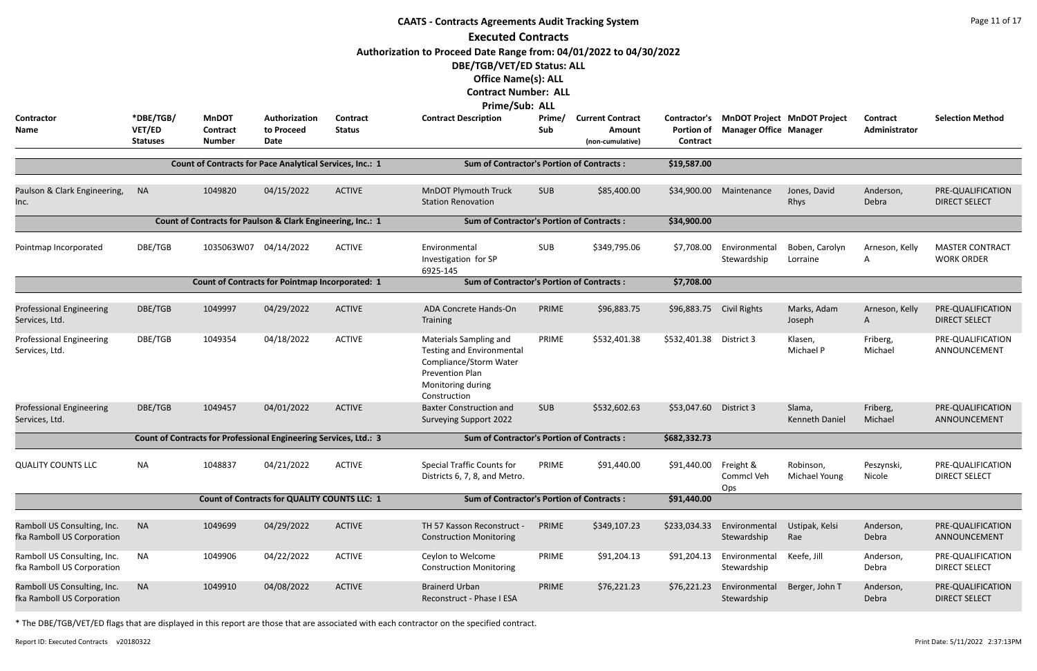|                                                           | <b>CAATS - Contracts Agreements Audit Tracking System</b><br><b>Executed Contracts</b><br>Authorization to Proceed Date Range from: 04/01/2022 to 04/30/2022 |                                                                   |                                                        |                                  |                                                                                                                                                     |               |                                   |                         |                                                                           |                             |                           |                                             |  |  |
|-----------------------------------------------------------|--------------------------------------------------------------------------------------------------------------------------------------------------------------|-------------------------------------------------------------------|--------------------------------------------------------|----------------------------------|-----------------------------------------------------------------------------------------------------------------------------------------------------|---------------|-----------------------------------|-------------------------|---------------------------------------------------------------------------|-----------------------------|---------------------------|---------------------------------------------|--|--|
| <b>Contractor</b><br>Name                                 | *DBE/TGB/<br>VET/ED                                                                                                                                          | <b>MnDOT</b><br><b>Contract</b>                                   | Authorization<br>to Proceed                            | <b>Contract</b><br><b>Status</b> | DBE/TGB/VET/ED Status: ALL<br><b>Office Name(s): ALL</b><br><b>Contract Number: ALL</b><br><b>Prime/Sub: ALL</b><br><b>Contract Description</b>     | Prime/<br>Sub | <b>Current Contract</b><br>Amount | <b>Portion of</b>       | Contractor's MnDOT Project MnDOT Project<br><b>Manager Office Manager</b> |                             | Contract<br>Administrator | <b>Selection Method</b>                     |  |  |
|                                                           | <b>Statuses</b>                                                                                                                                              | <b>Number</b>                                                     | <b>Date</b>                                            |                                  |                                                                                                                                                     |               | (non-cumulative)                  | Contract                |                                                                           |                             |                           |                                             |  |  |
|                                                           |                                                                                                                                                              | Count of Contracts for Pace Analytical Services, Inc.: 1          |                                                        |                                  | <b>Sum of Contractor's Portion of Contracts:</b>                                                                                                    |               |                                   | \$19,587.00             |                                                                           |                             |                           |                                             |  |  |
| Paulson & Clark Engineering,<br>Inc.                      | <b>NA</b>                                                                                                                                                    | 1049820                                                           | 04/15/2022                                             | <b>ACTIVE</b>                    | <b>MnDOT Plymouth Truck</b><br><b>Station Renovation</b>                                                                                            | <b>SUB</b>    | \$85,400.00                       | \$34,900.00             | Maintenance                                                               | Jones, David<br><b>Rhys</b> | Anderson,<br>Debra        | PRE-QUALIFICATION<br><b>DIRECT SELECT</b>   |  |  |
|                                                           |                                                                                                                                                              | Count of Contracts for Paulson & Clark Engineering, Inc.: 1       |                                                        |                                  | <b>Sum of Contractor's Portion of Contracts:</b>                                                                                                    |               |                                   | \$34,900.00             |                                                                           |                             |                           |                                             |  |  |
| Pointmap Incorporated                                     | DBE/TGB                                                                                                                                                      | 1035063W07 04/14/2022                                             |                                                        | <b>ACTIVE</b>                    | Environmental<br>Investigation for SP<br>6925-145                                                                                                   | SUB           | \$349,795.06                      | \$7,708.00              | Environmental<br>Stewardship                                              | Boben, Carolyn<br>Lorraine  | Arneson, Kelly<br>A       | <b>MASTER CONTRACT</b><br><b>WORK ORDER</b> |  |  |
|                                                           |                                                                                                                                                              |                                                                   | <b>Count of Contracts for Pointmap Incorporated: 1</b> |                                  | <b>Sum of Contractor's Portion of Contracts:</b>                                                                                                    |               |                                   | \$7,708.00              |                                                                           |                             |                           |                                             |  |  |
| <b>Professional Engineering</b><br>Services, Ltd.         | DBE/TGB                                                                                                                                                      | 1049997                                                           | 04/29/2022                                             | <b>ACTIVE</b>                    | ADA Concrete Hands-On<br>Training                                                                                                                   | PRIME         | \$96,883.75                       | \$96,883.75             | Civil Rights                                                              | Marks, Adam<br>Joseph       | Arneson, Kelly<br>A       | PRE-QUALIFICATION<br><b>DIRECT SELECT</b>   |  |  |
| <b>Professional Engineering</b><br>Services, Ltd.         | DBE/TGB                                                                                                                                                      | 1049354                                                           | 04/18/2022                                             | <b>ACTIVE</b>                    | Materials Sampling and<br><b>Testing and Environmental</b><br>Compliance/Storm Water<br><b>Prevention Plan</b><br>Monitoring during<br>Construction | PRIME         | \$532,401.38                      | \$532,401.38 District 3 |                                                                           | Klasen,<br>Michael P        | Friberg,<br>Michael       | PRE-QUALIFICATION<br>ANNOUNCEMENT           |  |  |
| <b>Professional Engineering</b><br>Services, Ltd.         | DBE/TGB                                                                                                                                                      | 1049457                                                           | 04/01/2022                                             | <b>ACTIVE</b>                    | <b>Baxter Construction and</b><br><b>Surveying Support 2022</b>                                                                                     | <b>SUB</b>    | \$532,602.63                      | \$53,047.60             | District 3                                                                | Slama,<br>Kenneth Daniel    | Friberg,<br>Michael       | PRE-QUALIFICATION<br>ANNOUNCEMENT           |  |  |
|                                                           |                                                                                                                                                              | Count of Contracts for Professional Engineering Services, Ltd.: 3 |                                                        |                                  | <b>Sum of Contractor's Portion of Contracts:</b>                                                                                                    |               |                                   | \$682,332.73            |                                                                           |                             |                           |                                             |  |  |
| <b>QUALITY COUNTS LLC</b>                                 | NA                                                                                                                                                           | 1048837                                                           | 04/21/2022                                             | <b>ACTIVE</b>                    | <b>Special Traffic Counts for</b><br>Districts 6, 7, 8, and Metro.                                                                                  | PRIME         | \$91,440.00                       | \$91,440.00             | Freight &<br>Commcl Veh<br>Ops                                            | Robinson,<br>Michael Young  | Peszynski,<br>Nicole      | PRE-QUALIFICATION<br><b>DIRECT SELECT</b>   |  |  |
|                                                           |                                                                                                                                                              |                                                                   | <b>Count of Contracts for QUALITY COUNTS LLC: 1</b>    |                                  | <b>Sum of Contractor's Portion of Contracts:</b>                                                                                                    |               |                                   | \$91,440.00             |                                                                           |                             |                           |                                             |  |  |
| Ramboll US Consulting, Inc.<br>fka Ramboll US Corporation | <b>NA</b>                                                                                                                                                    | 1049699                                                           | 04/29/2022                                             | <b>ACTIVE</b>                    | TH 57 Kasson Reconstruct -<br><b>Construction Monitoring</b>                                                                                        | PRIME         | \$349,107.23                      | \$233,034.33            | Environmental<br>Stewardship                                              | Ustipak, Kelsi<br>Rae       | Anderson,<br>Debra        | PRE-QUALIFICATION<br>ANNOUNCEMENT           |  |  |
| Ramboll US Consulting, Inc.<br>fka Ramboll US Corporation | <b>NA</b>                                                                                                                                                    | 1049906                                                           | 04/22/2022                                             | <b>ACTIVE</b>                    | Ceylon to Welcome<br><b>Construction Monitoring</b>                                                                                                 | PRIME         | \$91,204.13                       | \$91,204.13             | Environmental<br>Stewardship                                              | Keefe, Jill                 | Anderson,<br>Debra        | PRE-QUALIFICATION<br><b>DIRECT SELECT</b>   |  |  |
| Ramboll US Consulting, Inc.<br>fka Ramboll US Corporation | <b>NA</b>                                                                                                                                                    | 1049910                                                           | 04/08/2022                                             | <b>ACTIVE</b>                    | <b>Brainerd Urban</b><br>Reconstruct - Phase I ESA                                                                                                  | PRIME         | \$76,221.23                       | \$76,221.23             | Environmental<br>Stewardship                                              | Berger, John T              | Anderson,<br>Debra        | PRE-QUALIFICATION<br><b>DIRECT SELECT</b>   |  |  |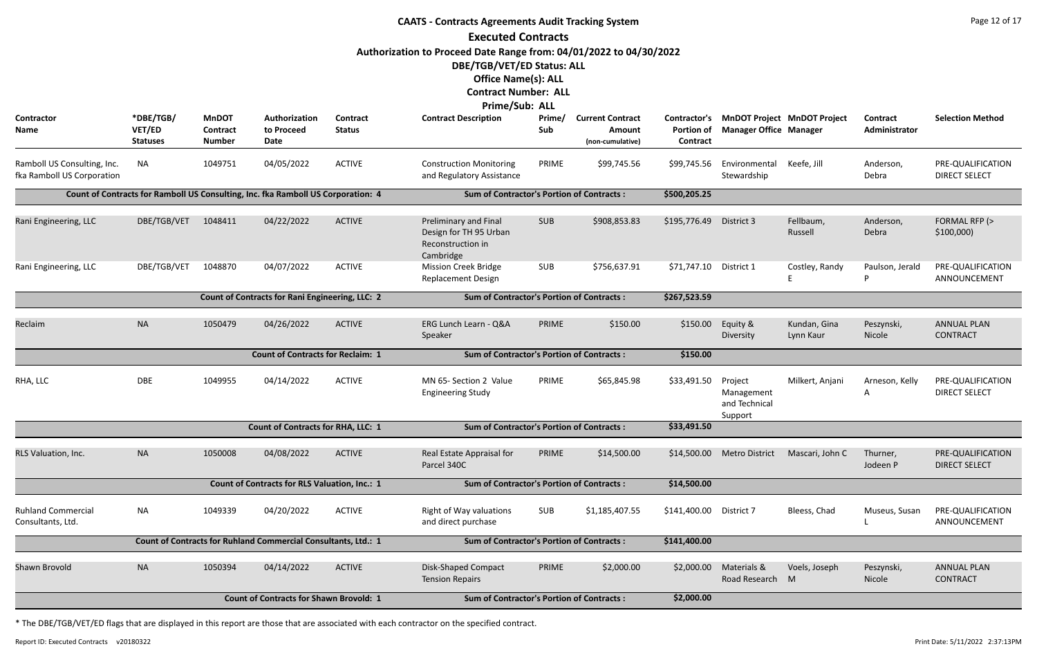|                                                           |                                        |                                           |                                                                                  |                           | <b>CAATS - Contracts Agreements Audit Tracking System</b>                                        |               |                                                       |                               |                                                   |                                          |                           | Page 12 of 17                             |
|-----------------------------------------------------------|----------------------------------------|-------------------------------------------|----------------------------------------------------------------------------------|---------------------------|--------------------------------------------------------------------------------------------------|---------------|-------------------------------------------------------|-------------------------------|---------------------------------------------------|------------------------------------------|---------------------------|-------------------------------------------|
|                                                           |                                        |                                           |                                                                                  |                           | <b>Executed Contracts</b>                                                                        |               |                                                       |                               |                                                   |                                          |                           |                                           |
|                                                           |                                        |                                           |                                                                                  |                           | Authorization to Proceed Date Range from: 04/01/2022 to 04/30/2022<br>DBE/TGB/VET/ED Status: ALL |               |                                                       |                               |                                                   |                                          |                           |                                           |
|                                                           |                                        |                                           |                                                                                  |                           | <b>Office Name(s): ALL</b>                                                                       |               |                                                       |                               |                                                   |                                          |                           |                                           |
|                                                           |                                        |                                           |                                                                                  |                           | <b>Contract Number: ALL</b>                                                                      |               |                                                       |                               |                                                   |                                          |                           |                                           |
|                                                           |                                        |                                           |                                                                                  |                           | Prime/Sub: ALL                                                                                   |               |                                                       |                               |                                                   |                                          |                           |                                           |
| <b>Contractor</b><br>Name                                 | *DBE/TGB/<br>VET/ED<br><b>Statuses</b> | <b>MnDOT</b><br>Contract<br><b>Number</b> | Authorization<br>to Proceed<br>Date                                              | Contract<br><b>Status</b> | <b>Contract Description</b>                                                                      | Prime/<br>Sub | <b>Current Contract</b><br>Amount<br>(non-cumulative) | <b>Portion of</b><br>Contract | <b>Manager Office Manager</b>                     | Contractor's MnDOT Project MnDOT Project | Contract<br>Administrator | <b>Selection Method</b>                   |
| Ramboll US Consulting, Inc.<br>fka Ramboll US Corporation | <b>NA</b>                              | 1049751                                   | 04/05/2022                                                                       | <b>ACTIVE</b>             | <b>Construction Monitoring</b><br>and Regulatory Assistance                                      | PRIME         | \$99,745.56                                           | \$99,745.56                   | Environmental<br>Stewardship                      | Keefe, Jill                              | Anderson,<br>Debra        | PRE-QUALIFICATION<br><b>DIRECT SELECT</b> |
|                                                           |                                        |                                           | Count of Contracts for Ramboll US Consulting, Inc. fka Ramboll US Corporation: 4 |                           | <b>Sum of Contractor's Portion of Contracts:</b>                                                 |               |                                                       | \$500,205.25                  |                                                   |                                          |                           |                                           |
| Rani Engineering, LLC                                     | DBE/TGB/VET                            | 1048411                                   | 04/22/2022                                                                       | <b>ACTIVE</b>             | <b>Preliminary and Final</b><br>Design for TH 95 Urban<br>Reconstruction in<br>Cambridge         | <b>SUB</b>    | \$908,853.83                                          | \$195,776.49                  | District 3                                        | Fellbaum,<br>Russell                     | Anderson,<br>Debra        | FORMAL RFP (><br>\$100,000                |
| Rani Engineering, LLC                                     | DBE/TGB/VET                            | 1048870                                   | 04/07/2022                                                                       | <b>ACTIVE</b>             | <b>Mission Creek Bridge</b><br><b>Replacement Design</b>                                         | SUB           | \$756,637.91                                          | \$71,747.10 District 1        |                                                   | Costley, Randy                           | Paulson, Jerald<br>P      | PRE-QUALIFICATION<br>ANNOUNCEMENT         |
|                                                           |                                        |                                           | Count of Contracts for Rani Engineering, LLC: 2                                  |                           | <b>Sum of Contractor's Portion of Contracts:</b>                                                 |               |                                                       | \$267,523.59                  |                                                   |                                          |                           |                                           |
| Reclaim                                                   | <b>NA</b>                              | 1050479                                   | 04/26/2022                                                                       | <b>ACTIVE</b>             | ERG Lunch Learn - Q&A<br>Speaker                                                                 | PRIME         | \$150.00                                              | \$150.00                      | Equity &<br>Diversity                             | Kundan, Gina<br>Lynn Kaur                | Peszynski,<br>Nicole      | <b>ANNUAL PLAN</b><br><b>CONTRACT</b>     |
|                                                           |                                        |                                           | <b>Count of Contracts for Reclaim: 1</b>                                         |                           | <b>Sum of Contractor's Portion of Contracts:</b>                                                 |               |                                                       | \$150.00                      |                                                   |                                          |                           |                                           |
| RHA, LLC                                                  | <b>DBE</b>                             | 1049955                                   | 04/14/2022                                                                       | <b>ACTIVE</b>             | MN 65- Section 2 Value<br><b>Engineering Study</b>                                               | PRIME         | \$65,845.98                                           | \$33,491.50                   | Project<br>Management<br>and Technical<br>Support | Milkert, Anjani                          | Arneson, Kelly<br>A       | PRE-QUALIFICATION<br><b>DIRECT SELECT</b> |
|                                                           |                                        |                                           | <b>Count of Contracts for RHA, LLC: 1</b>                                        |                           | <b>Sum of Contractor's Portion of Contracts:</b>                                                 |               |                                                       | \$33,491.50                   |                                                   |                                          |                           |                                           |
| RLS Valuation, Inc.                                       | <b>NA</b>                              | 1050008                                   | 04/08/2022                                                                       | <b>ACTIVE</b>             | Real Estate Appraisal for<br>Parcel 340C                                                         | PRIME         | \$14,500.00                                           |                               | \$14,500.00 Metro District                        | Mascari, John C                          | Thurner,<br>Jodeen P      | PRE-QUALIFICATION<br><b>DIRECT SELECT</b> |
|                                                           |                                        |                                           | <b>Count of Contracts for RLS Valuation, Inc.: 1</b>                             |                           | <b>Sum of Contractor's Portion of Contracts:</b>                                                 |               |                                                       | \$14,500.00                   |                                                   |                                          |                           |                                           |
| <b>Ruhland Commercial</b><br>Consultants, Ltd.            | <b>NA</b>                              | 1049339                                   | 04/20/2022                                                                       | <b>ACTIVE</b>             | Right of Way valuations<br>and direct purchase                                                   | SUB           | \$1,185,407.55                                        | \$141,400.00                  | District 7                                        | Bleess, Chad                             | Museus, Susan             | PRE-QUALIFICATION<br>ANNOUNCEMENT         |
|                                                           |                                        |                                           | Count of Contracts for Ruhland Commercial Consultants, Ltd.: 1                   |                           | <b>Sum of Contractor's Portion of Contracts:</b>                                                 |               |                                                       | \$141,400.00                  |                                                   |                                          |                           |                                           |
| Shawn Brovold                                             | <b>NA</b>                              | 1050394                                   | 04/14/2022                                                                       | <b>ACTIVE</b>             | <b>Disk-Shaped Compact</b><br><b>Tension Repairs</b>                                             | PRIME         | \$2,000.00                                            | \$2,000.00                    | Materials &<br>Road Research M                    | Voels, Joseph                            | Peszynski,<br>Nicole      | <b>ANNUAL PLAN</b><br><b>CONTRACT</b>     |
|                                                           |                                        |                                           | <b>Count of Contracts for Shawn Brovold: 1</b>                                   |                           | <b>Sum of Contractor's Portion of Contracts:</b>                                                 |               |                                                       | \$2,000.00                    |                                                   |                                          |                           |                                           |
|                                                           |                                        |                                           |                                                                                  |                           |                                                                                                  |               |                                                       |                               |                                                   |                                          |                           |                                           |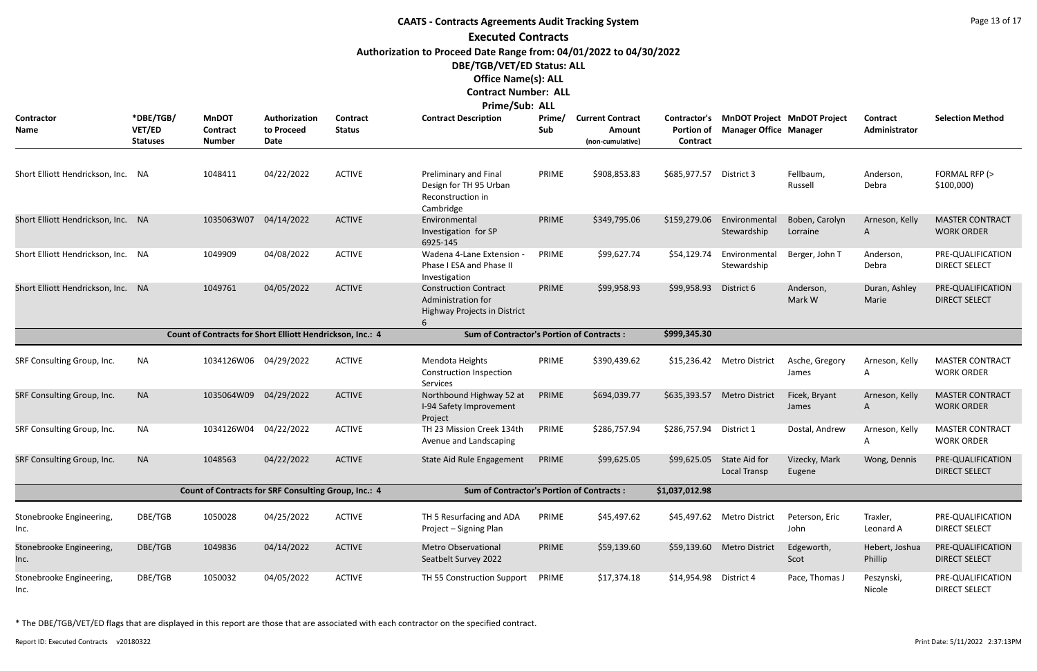# **CAATS - Contracts Agreements Audit Tracking System Executed Contracts Authorization to Proceed Date Range from: 04/01/2022 to 04/30/2022 DBE/TGB/VET/ED Status: ALL Office Name(s): ALL**

## **Contract Number: ALL**

| Prime/Sub: ALL |  |  |
|----------------|--|--|
|----------------|--|--|

| <b>Contractor</b><br>Name          | *DBE/TGB/<br>VET/ED<br><b>Statuses</b> | <b>MnDOT</b><br><b>Contract</b><br>Number                 | Authorization<br>to Proceed<br><b>Date</b> | <b>Contract</b><br><b>Status</b> | <b>Contract Description</b>                                                        | Prime/<br>Sub | <b>Current Contract</b><br>Amount<br>(non-cumulative) | Contractor's<br><b>Portion of</b><br>Contract | <b>Manager Office Manager</b>        | <b>MnDOT Project MnDOT Project</b> | Contract<br>Administrator | <b>Selection Method</b>                     |
|------------------------------------|----------------------------------------|-----------------------------------------------------------|--------------------------------------------|----------------------------------|------------------------------------------------------------------------------------|---------------|-------------------------------------------------------|-----------------------------------------------|--------------------------------------|------------------------------------|---------------------------|---------------------------------------------|
| Short Elliott Hendrickson, Inc.    | - NA                                   | 1048411                                                   | 04/22/2022                                 | <b>ACTIVE</b>                    | Preliminary and Final<br>Design for TH 95 Urban<br>Reconstruction in<br>Cambridge  | PRIME         | \$908,853.83                                          | \$685,977.57                                  | District 3                           | Fellbaum,<br>Russell               | Anderson,<br>Debra        | FORMAL RFP (><br>\$100,000                  |
| Short Elliott Hendrickson, Inc. NA |                                        | 1035063W07                                                | 04/14/2022                                 | <b>ACTIVE</b>                    | Environmental<br>Investigation for SP<br>6925-145                                  | PRIME         | \$349,795.06                                          | \$159,279.06                                  | Environmental<br>Stewardship         | Boben, Carolyn<br>Lorraine         | Arneson, Kelly<br>A       | <b>MASTER CONTRACT</b><br><b>WORK ORDER</b> |
| Short Elliott Hendrickson, Inc. NA |                                        | 1049909                                                   | 04/08/2022                                 | <b>ACTIVE</b>                    | Wadena 4-Lane Extension<br>Phase I ESA and Phase II<br>Investigation               | PRIME         | \$99,627.74                                           | \$54,129.74                                   | Environmental<br>Stewardship         | Berger, John T                     | Anderson,<br>Debra        | PRE-QUALIFICATION<br><b>DIRECT SELECT</b>   |
| Short Elliott Hendrickson, Inc. NA |                                        | 1049761                                                   | 04/05/2022                                 | <b>ACTIVE</b>                    | <b>Construction Contract</b><br>Administration for<br>Highway Projects in District | PRIME         | \$99,958.93                                           | \$99,958.93                                   | District 6                           | Anderson,<br>Mark W                | Duran, Ashley<br>Marie    | PRE-QUALIFICATION<br><b>DIRECT SELECT</b>   |
|                                    |                                        | Count of Contracts for Short Elliott Hendrickson, Inc.: 4 |                                            |                                  | <b>Sum of Contractor's Portion of Contracts:</b>                                   |               |                                                       | \$999,345.30                                  |                                      |                                    |                           |                                             |
| SRF Consulting Group, Inc.         | <b>NA</b>                              | 1034126W06 04/29/2022                                     |                                            | <b>ACTIVE</b>                    | Mendota Heights<br>Construction Inspection<br>Services                             | PRIME         | \$390,439.62                                          |                                               | \$15,236.42 Metro District           | Asche, Gregory<br>James            | Arneson, Kelly<br>A       | <b>MASTER CONTRACT</b><br><b>WORK ORDER</b> |
| SRF Consulting Group, Inc.         | <b>NA</b>                              | 1035064W09                                                | 04/29/2022                                 | <b>ACTIVE</b>                    | Northbound Highway 52 at<br>I-94 Safety Improvement<br>Project                     | PRIME         | \$694,039.77                                          | \$635,393.57                                  | <b>Metro District</b>                | Ficek, Bryant<br>James             | Arneson, Kelly<br>A       | <b>MASTER CONTRACT</b><br><b>WORK ORDER</b> |
| SRF Consulting Group, Inc.         | <b>NA</b>                              | 1034126W04                                                | 04/22/2022                                 | <b>ACTIVE</b>                    | TH 23 Mission Creek 134th<br>Avenue and Landscaping                                | PRIME         | \$286,757.94                                          | \$286,757.94                                  | District 1                           | Dostal, Andrew                     | Arneson, Kelly<br>A       | <b>MASTER CONTRACT</b><br><b>WORK ORDER</b> |
| SRF Consulting Group, Inc.         | <b>NA</b>                              | 1048563                                                   | 04/22/2022                                 | <b>ACTIVE</b>                    | State Aid Rule Engagement                                                          | PRIME         | \$99,625.05                                           | \$99,625.05                                   | State Aid for<br><b>Local Transp</b> | Vizecky, Mark<br>Eugene            | Wong, Dennis              | PRE-QUALIFICATION<br><b>DIRECT SELECT</b>   |
|                                    |                                        | Count of Contracts for SRF Consulting Group, Inc.: 4      |                                            |                                  | <b>Sum of Contractor's Portion of Contracts:</b>                                   |               |                                                       | \$1,037,012.98                                |                                      |                                    |                           |                                             |
| Stonebrooke Engineering,<br>Inc.   | DBE/TGB                                | 1050028                                                   | 04/25/2022                                 | <b>ACTIVE</b>                    | TH 5 Resurfacing and ADA<br>Project - Signing Plan                                 | PRIME         | \$45,497.62                                           | \$45,497.62                                   | <b>Metro District</b>                | Peterson, Eric<br>John             | Traxler,<br>Leonard A     | PRE-QUALIFICATION<br><b>DIRECT SELECT</b>   |
| Stonebrooke Engineering,<br>Inc.   | DBE/TGB                                | 1049836                                                   | 04/14/2022                                 | <b>ACTIVE</b>                    | <b>Metro Observational</b><br>Seatbelt Survey 2022                                 | PRIME         | \$59,139.60                                           | \$59,139.60                                   | <b>Metro District</b>                | Edgeworth,<br>Scot                 | Hebert, Joshua<br>Phillip | PRE-QUALIFICATION<br><b>DIRECT SELECT</b>   |
| Stonebrooke Engineering,<br>Inc.   | DBE/TGB                                | 1050032                                                   | 04/05/2022                                 | <b>ACTIVE</b>                    | TH 55 Construction Support                                                         | PRIME         | \$17,374.18                                           | \$14,954.98 District 4                        |                                      | Pace, Thomas J                     | Peszynski,<br>Nicole      | PRE-QUALIFICATION<br><b>DIRECT SELECT</b>   |

\* The DBE/TGB/VET/ED flags that are displayed in this report are those that are associated with each contractor on the specified contract.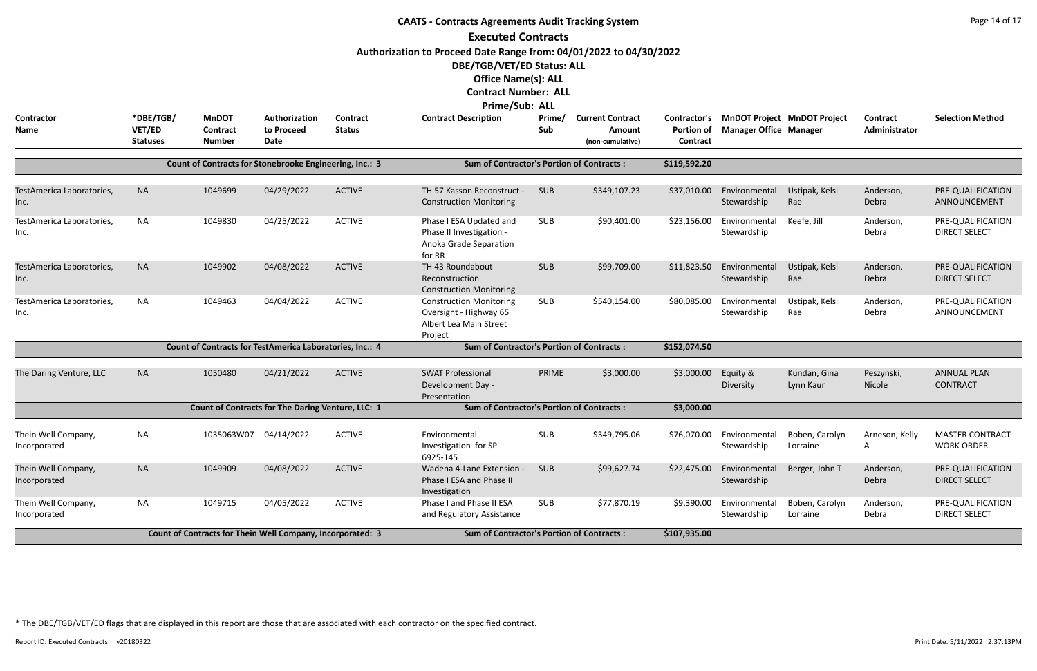|                                     |                                        |                                                            |                                     |                                  | <b>CAATS - Contracts Agreements Audit Tracking System</b><br><b>Executed Contracts</b><br>Authorization to Proceed Date Range from: 04/01/2022 to 04/30/2022<br>DBE/TGB/VET/ED Status: ALL<br><b>Office Name(s): ALL</b><br><b>Contract Number: ALL</b><br>Prime/Sub: ALL |               |                                                       |                               |                               |                                          |                             | Page 14 of 17                               |
|-------------------------------------|----------------------------------------|------------------------------------------------------------|-------------------------------------|----------------------------------|---------------------------------------------------------------------------------------------------------------------------------------------------------------------------------------------------------------------------------------------------------------------------|---------------|-------------------------------------------------------|-------------------------------|-------------------------------|------------------------------------------|-----------------------------|---------------------------------------------|
| <b>Contractor</b><br>Name           | *DBE/TGB/<br>VET/ED<br><b>Statuses</b> | <b>MnDOT</b><br>Contract<br><b>Number</b>                  | Authorization<br>to Proceed<br>Date | <b>Contract</b><br><b>Status</b> | <b>Contract Description</b>                                                                                                                                                                                                                                               | Prime/<br>Sub | <b>Current Contract</b><br>Amount<br>(non-cumulative) | <b>Portion of</b><br>Contract | <b>Manager Office Manager</b> | Contractor's MnDOT Project MnDOT Project | Contract<br>Administrator   | <b>Selection Method</b>                     |
|                                     |                                        | Count of Contracts for Stonebrooke Engineering, Inc.: 3    |                                     |                                  | <b>Sum of Contractor's Portion of Contracts:</b>                                                                                                                                                                                                                          |               |                                                       | \$119,592.20                  |                               |                                          |                             |                                             |
| TestAmerica Laboratories,<br>Inc.   | <b>NA</b>                              | 1049699                                                    | 04/29/2022                          | <b>ACTIVE</b>                    | TH 57 Kasson Reconstruct -<br><b>Construction Monitoring</b>                                                                                                                                                                                                              | <b>SUB</b>    | \$349,107.23                                          | \$37,010.00                   | Environmental<br>Stewardship  | Ustipak, Kelsi<br>Rae                    | Anderson,<br>Debra          | PRE-QUALIFICATION<br>ANNOUNCEMENT           |
| TestAmerica Laboratories,<br>Inc.   | <b>NA</b>                              | 1049830                                                    | 04/25/2022                          | <b>ACTIVE</b>                    | Phase I ESA Updated and<br>Phase II Investigation -<br>Anoka Grade Separation<br>for RR                                                                                                                                                                                   | <b>SUB</b>    | \$90,401.00                                           | \$23,156.00                   | Environmental<br>Stewardship  | Keefe, Jill                              | Anderson,<br>Debra          | PRE-QUALIFICATION<br><b>DIRECT SELECT</b>   |
| TestAmerica Laboratories,<br>Inc.   | <b>NA</b>                              | 1049902                                                    | 04/08/2022                          | <b>ACTIVE</b>                    | TH 43 Roundabout<br>Reconstruction<br><b>Construction Monitoring</b>                                                                                                                                                                                                      | <b>SUB</b>    | \$99,709.00                                           | \$11,823.50                   | Environmental<br>Stewardship  | Ustipak, Kelsi<br>Rae                    | Anderson,<br>Debra          | PRE-QUALIFICATION<br><b>DIRECT SELECT</b>   |
| TestAmerica Laboratories,<br>Inc.   | <b>NA</b>                              | 1049463                                                    | 04/04/2022                          | <b>ACTIVE</b>                    | <b>Construction Monitoring</b><br>Oversight - Highway 65<br>Albert Lea Main Street<br>Project                                                                                                                                                                             | SUB           | \$540,154.00                                          | \$80,085.00                   | Environmental<br>Stewardship  | Ustipak, Kelsi<br>Rae                    | Anderson,<br>Debra          | PRE-QUALIFICATION<br>ANNOUNCEMENT           |
|                                     |                                        | Count of Contracts for TestAmerica Laboratories, Inc.: 4   |                                     |                                  | <b>Sum of Contractor's Portion of Contracts:</b>                                                                                                                                                                                                                          |               |                                                       | \$152,074.50                  |                               |                                          |                             |                                             |
| The Daring Venture, LLC             | <b>NA</b>                              | 1050480                                                    | 04/21/2022                          | <b>ACTIVE</b>                    | <b>SWAT Professional</b><br>Development Day -<br>Presentation                                                                                                                                                                                                             | PRIME         | \$3,000.00                                            | \$3,000.00                    | Equity &<br>Diversity         | Kundan, Gina<br>Lynn Kaur                | Peszynski,<br><b>Nicole</b> | <b>ANNUAL PLAN</b><br><b>CONTRACT</b>       |
|                                     |                                        | Count of Contracts for The Daring Venture, LLC: 1          |                                     |                                  | <b>Sum of Contractor's Portion of Contracts:</b>                                                                                                                                                                                                                          |               |                                                       | \$3,000.00                    |                               |                                          |                             |                                             |
| Thein Well Company,<br>Incorporated | NA                                     | 1035063W07                                                 | 04/14/2022                          | <b>ACTIVE</b>                    | Environmental<br>Investigation for SP<br>6925-145                                                                                                                                                                                                                         | SUB           | \$349,795.06                                          | \$76,070.00                   | Environmental<br>Stewardship  | Boben, Carolyn<br>Lorraine               | Arneson, Kelly<br>A         | <b>MASTER CONTRACT</b><br><b>WORK ORDER</b> |
| Thein Well Company,<br>Incorporated | <b>NA</b>                              | 1049909                                                    | 04/08/2022                          | <b>ACTIVE</b>                    | Wadena 4-Lane Extension -<br>Phase I ESA and Phase II<br>Investigation                                                                                                                                                                                                    | SUB           | \$99,627.74                                           | \$22,475.00                   | Environmental<br>Stewardship  | Berger, John T                           | Anderson,<br>Debra          | PRE-QUALIFICATION<br><b>DIRECT SELECT</b>   |
| Thein Well Company,<br>Incorporated | <b>NA</b>                              | 1049715                                                    | 04/05/2022                          | <b>ACTIVE</b>                    | Phase I and Phase II ESA<br>and Regulatory Assistance                                                                                                                                                                                                                     | SUB           | \$77,870.19                                           | \$9,390.00                    | Environmental<br>Stewardship  | Boben, Carolyn<br>Lorraine               | Anderson,<br>Debra          | PRE-QUALIFICATION<br><b>DIRECT SELECT</b>   |
|                                     |                                        | Count of Contracts for Thein Well Company, Incorporated: 3 |                                     |                                  | <b>Sum of Contractor's Portion of Contracts:</b>                                                                                                                                                                                                                          |               |                                                       | \$107,935.00                  |                               |                                          |                             |                                             |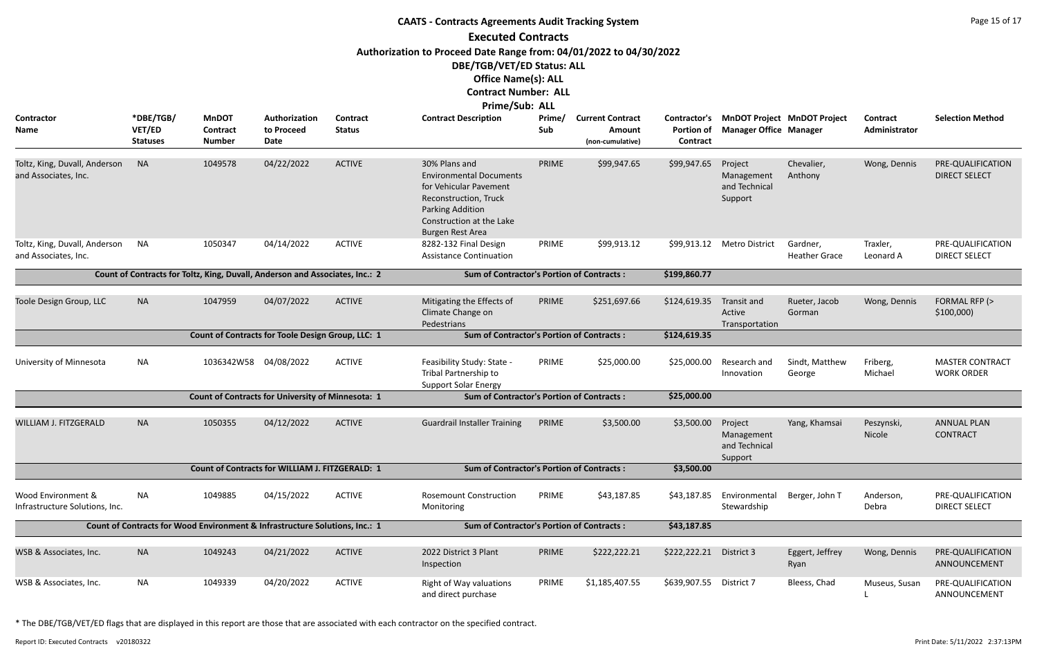|                                                       |                                        |                                                                              |                                                          |                           | <b>CAATS - Contracts Agreements Audit Tracking System</b>                                                                                                                                  |               |                                                       |                               |                                                                           |                                  |                                  | Page 15 of 17                               |
|-------------------------------------------------------|----------------------------------------|------------------------------------------------------------------------------|----------------------------------------------------------|---------------------------|--------------------------------------------------------------------------------------------------------------------------------------------------------------------------------------------|---------------|-------------------------------------------------------|-------------------------------|---------------------------------------------------------------------------|----------------------------------|----------------------------------|---------------------------------------------|
|                                                       |                                        |                                                                              |                                                          |                           | <b>Executed Contracts</b><br>Authorization to Proceed Date Range from: 04/01/2022 to 04/30/2022<br>DBE/TGB/VET/ED Status: ALL<br><b>Office Name(s): ALL</b><br><b>Contract Number: ALL</b> |               |                                                       |                               |                                                                           |                                  |                                  |                                             |
| Contractor<br><b>Name</b>                             | *DBE/TGB/<br>VET/ED<br><b>Statuses</b> | <b>MnDOT</b><br>Contract<br><b>Number</b>                                    | Authorization<br>to Proceed<br>Date                      | Contract<br><b>Status</b> | Prime/Sub: ALL<br><b>Contract Description</b>                                                                                                                                              | Prime/<br>Sub | <b>Current Contract</b><br>Amount<br>(non-cumulative) | <b>Portion of</b><br>Contract | Contractor's MnDOT Project MnDOT Project<br><b>Manager Office Manager</b> |                                  | <b>Contract</b><br>Administrator | <b>Selection Method</b>                     |
| Toltz, King, Duvall, Anderson<br>and Associates, Inc. | <b>NA</b>                              | 1049578                                                                      | 04/22/2022                                               | <b>ACTIVE</b>             | 30% Plans and<br><b>Environmental Documents</b><br>for Vehicular Pavement<br>Reconstruction, Truck<br>Parking Addition<br>Construction at the Lake<br>Burgen Rest Area                     | PRIME         | \$99,947.65                                           | \$99,947.65                   | Project<br>Management<br>and Technical<br>Support                         | Chevalier,<br>Anthony            | Wong, Dennis                     | PRE-QUALIFICATION<br><b>DIRECT SELECT</b>   |
| Toltz, King, Duvall, Anderson<br>and Associates, Inc. | <b>NA</b>                              | 1050347                                                                      | 04/14/2022                                               | <b>ACTIVE</b>             | 8282-132 Final Design<br><b>Assistance Continuation</b>                                                                                                                                    | PRIME         | \$99,913.12                                           | \$99,913.12                   | <b>Metro District</b>                                                     | Gardner,<br><b>Heather Grace</b> | Traxler,<br>Leonard A            | PRE-QUALIFICATION<br><b>DIRECT SELECT</b>   |
|                                                       |                                        | Count of Contracts for Toltz, King, Duvall, Anderson and Associates, Inc.: 2 |                                                          |                           | <b>Sum of Contractor's Portion of Contracts:</b>                                                                                                                                           |               |                                                       | \$199,860.77                  |                                                                           |                                  |                                  |                                             |
| Toole Design Group, LLC                               | <b>NA</b>                              | 1047959                                                                      | 04/07/2022                                               | <b>ACTIVE</b>             | Mitigating the Effects of<br>Climate Change on<br>Pedestrians                                                                                                                              | PRIME         | \$251,697.66                                          | \$124,619.35                  | Transit and<br>Active<br>Transportation                                   | Rueter, Jacob<br>Gorman          | Wong, Dennis                     | FORMAL RFP (><br>\$100,000                  |
|                                                       |                                        |                                                                              | Count of Contracts for Toole Design Group, LLC: 1        |                           | <b>Sum of Contractor's Portion of Contracts:</b>                                                                                                                                           |               |                                                       | \$124,619.35                  |                                                                           |                                  |                                  |                                             |
| University of Minnesota                               | <b>NA</b>                              | 1036342W58 04/08/2022                                                        |                                                          | <b>ACTIVE</b>             | Feasibility Study: State -<br>Tribal Partnership to<br><b>Support Solar Energy</b>                                                                                                         | PRIME         | \$25,000.00                                           | \$25,000.00                   | Research and<br>Innovation                                                | Sindt, Matthew<br>George         | Friberg,<br>Michael              | <b>MASTER CONTRACT</b><br><b>WORK ORDER</b> |
|                                                       |                                        |                                                                              | <b>Count of Contracts for University of Minnesota: 1</b> |                           | <b>Sum of Contractor's Portion of Contracts:</b>                                                                                                                                           |               |                                                       | \$25,000.00                   |                                                                           |                                  |                                  |                                             |
| WILLIAM J. FITZGERALD                                 | <b>NA</b>                              | 1050355                                                                      | 04/12/2022                                               | <b>ACTIVE</b>             | <b>Guardrail Installer Training</b>                                                                                                                                                        | PRIME         | \$3,500.00                                            | \$3,500.00                    | Project<br>Management<br>and Technical<br>Support                         | Yang, Khamsai                    | Peszynski,<br>Nicole             | <b>ANNUAL PLAN</b><br><b>CONTRACT</b>       |
|                                                       |                                        |                                                                              | Count of Contracts for WILLIAM J. FITZGERALD: 1          |                           | <b>Sum of Contractor's Portion of Contracts:</b>                                                                                                                                           |               |                                                       | \$3,500.00                    |                                                                           |                                  |                                  |                                             |
| Wood Environment &<br>Infrastructure Solutions, Inc.  | NA                                     | 1049885                                                                      | 04/15/2022                                               | <b>ACTIVE</b>             | <b>Rosemount Construction</b><br>Monitoring                                                                                                                                                | PRIME         | \$43,187.85                                           | \$43,187.85                   | Environmental<br>Stewardship                                              | Berger, John T                   | Anderson,<br>Debra               | PRE-QUALIFICATION<br><b>DIRECT SELECT</b>   |
|                                                       |                                        | Count of Contracts for Wood Environment & Infrastructure Solutions, Inc.: 1  |                                                          |                           | <b>Sum of Contractor's Portion of Contracts:</b>                                                                                                                                           |               |                                                       | \$43,187.85                   |                                                                           |                                  |                                  |                                             |
| WSB & Associates, Inc.                                | <b>NA</b>                              | 1049243                                                                      | 04/21/2022                                               | <b>ACTIVE</b>             | 2022 District 3 Plant<br>Inspection                                                                                                                                                        | PRIME         | \$222,222.21                                          | \$222,222.21                  | District 3                                                                | Eggert, Jeffrey<br>Ryan          | Wong, Dennis                     | PRE-QUALIFICATION<br>ANNOUNCEMENT           |
| WSB & Associates, Inc.                                | <b>NA</b>                              | 1049339                                                                      | 04/20/2022                                               | <b>ACTIVE</b>             | Right of Way valuations<br>and direct purchase                                                                                                                                             | PRIME         | \$1,185,407.55                                        | \$639,907.55                  | District 7                                                                | Bleess, Chad                     | Museus, Susan                    | PRE-QUALIFICATION<br>ANNOUNCEMENT           |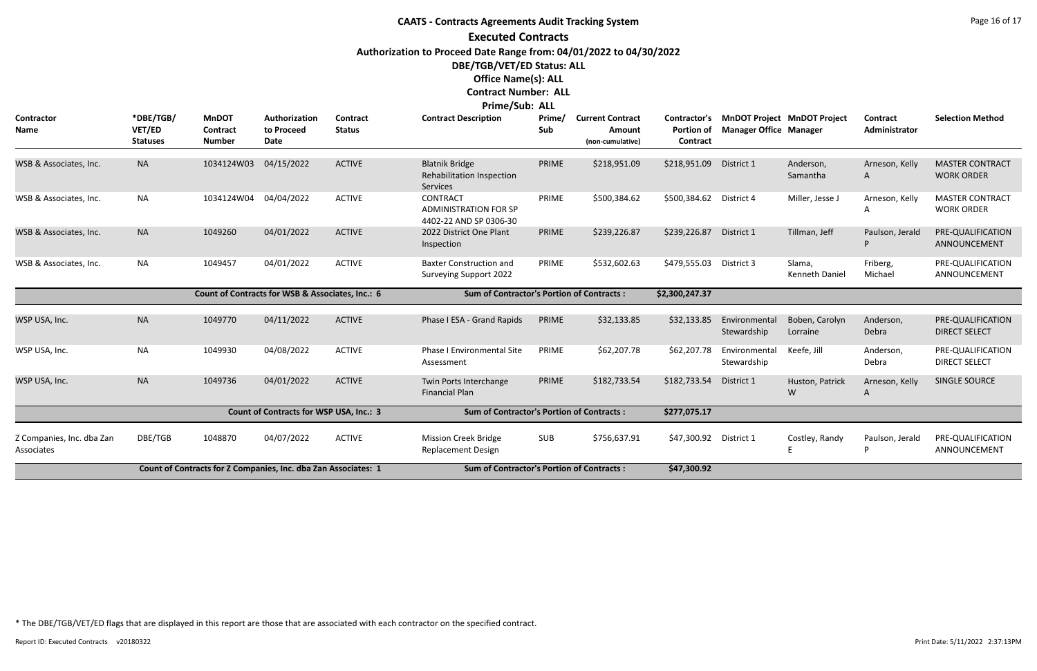## **CAATS - Contracts Agreements Audit Tracking System Executed Contracts Authorization to Proceed Date Range from: 04/01/2022 to 04/30/2022 DBE/TGB/VET/ED Status: ALL Office Name(s): ALL Contract Number: ALL Prime/Sub: ALL**

|                                         |                                        |                                                                |                                                  |                                  | PHILE JUD. ALL                                                            |               |                                                       |                                               |                               |                                    |                                  |                                             |
|-----------------------------------------|----------------------------------------|----------------------------------------------------------------|--------------------------------------------------|----------------------------------|---------------------------------------------------------------------------|---------------|-------------------------------------------------------|-----------------------------------------------|-------------------------------|------------------------------------|----------------------------------|---------------------------------------------|
| <b>Contractor</b><br><b>Name</b>        | *DBE/TGB/<br>VET/ED<br><b>Statuses</b> | <b>MnDOT</b><br>Contract<br><b>Number</b>                      | Authorization<br>to Proceed<br>Date              | <b>Contract</b><br><b>Status</b> | <b>Contract Description</b>                                               | Prime/<br>Sub | <b>Current Contract</b><br>Amount<br>(non-cumulative) | Contractor's<br><b>Portion of</b><br>Contract | <b>Manager Office Manager</b> | <b>MnDOT Project MnDOT Project</b> | <b>Contract</b><br>Administrator | <b>Selection Method</b>                     |
| WSB & Associates, Inc.                  | <b>NA</b>                              | 1034124W03                                                     | 04/15/2022                                       | <b>ACTIVE</b>                    | <b>Blatnik Bridge</b><br>Rehabilitation Inspection<br><b>Services</b>     | PRIME         | \$218,951.09                                          | \$218,951.09                                  | District 1                    | Anderson,<br>Samantha              | Arneson, Kelly<br>A              | <b>MASTER CONTRACT</b><br><b>WORK ORDER</b> |
| WSB & Associates, Inc.                  | <b>NA</b>                              | 1034124W04                                                     | 04/04/2022                                       | <b>ACTIVE</b>                    | <b>CONTRACT</b><br><b>ADMINISTRATION FOR SP</b><br>4402-22 AND SP 0306-30 | PRIME         | \$500,384.62                                          | \$500,384.62                                  | District 4                    | Miller, Jesse J                    | Arneson, Kelly<br>A              | <b>MASTER CONTRACT</b><br><b>WORK ORDER</b> |
| WSB & Associates, Inc.                  | <b>NA</b>                              | 1049260                                                        | 04/01/2022                                       | <b>ACTIVE</b>                    | 2022 District One Plant<br>Inspection                                     | PRIME         | \$239,226.87                                          | \$239,226.87                                  | District 1                    | Tillman, Jeff                      | Paulson, Jerald                  | PRE-QUALIFICATION<br>ANNOUNCEMENT           |
| WSB & Associates, Inc.                  | <b>NA</b>                              | 1049457                                                        | 04/01/2022                                       | <b>ACTIVE</b>                    | <b>Baxter Construction and</b><br><b>Surveying Support 2022</b>           | PRIME         | \$532,602.63                                          | \$479,555.03                                  | District 3                    | Slama,<br>Kenneth Daniel           | Friberg,<br>Michael              | PRE-QUALIFICATION<br>ANNOUNCEMENT           |
|                                         |                                        |                                                                | Count of Contracts for WSB & Associates, Inc.: 6 |                                  | <b>Sum of Contractor's Portion of Contracts:</b>                          |               |                                                       | \$2,300,247.37                                |                               |                                    |                                  |                                             |
| WSP USA, Inc.                           | <b>NA</b>                              | 1049770                                                        | 04/11/2022                                       | <b>ACTIVE</b>                    | Phase I ESA - Grand Rapids                                                | PRIME         | \$32,133.85                                           | \$32,133.85                                   | Environmental<br>Stewardship  | Boben, Carolyn<br>Lorraine         | Anderson,<br>Debra               | PRE-QUALIFICATION<br><b>DIRECT SELECT</b>   |
| WSP USA, Inc.                           | <b>NA</b>                              | 1049930                                                        | 04/08/2022                                       | <b>ACTIVE</b>                    | Phase I Environmental Site<br>Assessment                                  | PRIME         | \$62,207.78                                           | \$62,207.78                                   | Environmental<br>Stewardship  | Keefe, Jill                        | Anderson,<br>Debra               | PRE-QUALIFICATION<br><b>DIRECT SELECT</b>   |
| WSP USA, Inc.                           | <b>NA</b>                              | 1049736                                                        | 04/01/2022                                       | <b>ACTIVE</b>                    | Twin Ports Interchange<br><b>Financial Plan</b>                           | PRIME         | \$182,733.54                                          | \$182,733.54                                  | District 1                    | Huston, Patrick<br>W               | Arneson, Kelly<br>A              | SINGLE SOURCE                               |
|                                         |                                        |                                                                | Count of Contracts for WSP USA, Inc.: 3          |                                  | <b>Sum of Contractor's Portion of Contracts:</b>                          |               |                                                       | \$277,075.17                                  |                               |                                    |                                  |                                             |
| Z Companies, Inc. dba Zan<br>Associates | DBE/TGB                                | 1048870                                                        | 04/07/2022                                       | <b>ACTIVE</b>                    | <b>Mission Creek Bridge</b><br><b>Replacement Design</b>                  | <b>SUB</b>    | \$756,637.91                                          | \$47,300.92 District 1                        |                               | Costley, Randy                     | Paulson, Jerald<br>P             | PRE-QUALIFICATION<br>ANNOUNCEMENT           |
|                                         |                                        | Count of Contracts for Z Companies, Inc. dba Zan Associates: 1 |                                                  |                                  | <b>Sum of Contractor's Portion of Contracts:</b>                          |               |                                                       | \$47,300.92                                   |                               |                                    |                                  |                                             |